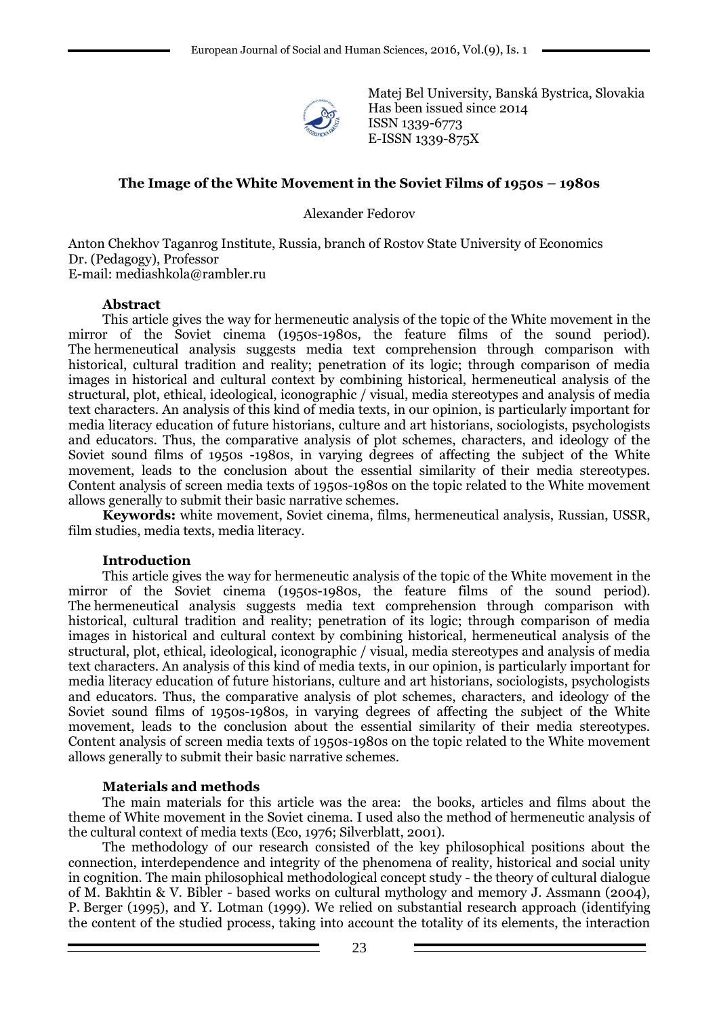

Matej Bel University, Banská Bystrica, Slovakia Has been issued since 2014 ISSN 1339-6773 E-ISSN 1339-875X

### **The Image of the White Movement in the Soviet Films of 1950s – 1980s**

Alexander Fedorov

Anton Chekhov Taganrog Institute, Russia, branch of Rostov State University of Economics Dr. (Pedagogy), Professor E-mail: mediashkola@rambler.ru

### **Abstract**

This article gives the way for hermeneutic analysis of the topic of the White movement in the mirror of the Soviet cinema (1950s-1980s, the feature films of the sound period). The hermeneutical analysis suggests media text comprehension through comparison with historical, cultural tradition and reality; penetration of its logic; through comparison of media images in historical and cultural context by combining historical, hermeneutical analysis of the structural, plot, ethical, ideological, iconographic / visual, media stereotypes and analysis of media text characters. An analysis of this kind of media texts, in our opinion, is particularly important for media literacy education of future historians, culture and art historians, sociologists, psychologists and educators. Thus, the comparative analysis of plot schemes, characters, and ideology of the Soviet sound films of 1950s -1980s, in varying degrees of affecting the subject of the White movement, leads to the conclusion about the essential similarity of their media stereotypes. Content analysis of screen media texts of 1950s-1980s on the topic related to the White movement allows generally to submit their basic narrative schemes.

**Keywords:** white movement, Soviet cinema, films, hermeneutical analysis, Russian, USSR, film studies, media texts, media literacy.

### **Introduction**

This article gives the way for hermeneutic analysis of the topic of the White movement in the mirror of the Soviet cinema (1950s-1980s, the feature films of the sound period). The hermeneutical analysis suggests media text comprehension through comparison with historical, cultural tradition and reality; penetration of its logic; through comparison of media images in historical and cultural context by combining historical, hermeneutical analysis of the structural, plot, ethical, ideological, iconographic / visual, media stereotypes and analysis of media text characters. An analysis of this kind of media texts, in our opinion, is particularly important for media literacy education of future historians, culture and art historians, sociologists, psychologists and educators. Thus, the comparative analysis of plot schemes, characters, and ideology of the Soviet sound films of 1950s-1980s, in varying degrees of affecting the subject of the White movement, leads to the conclusion about the essential similarity of their media stereotypes. Content analysis of screen media texts of 1950s-1980s on the topic related to the White movement allows generally to submit their basic narrative schemes.

#### **Materials and methods**

The main materials for this article was the area: the books, articles and films about the theme of White movement in the Soviet cinema. I used also the method of hermeneutic analysis of the cultural context of media texts (Eco, 1976; Silverblatt, 2001).

The methodology of our research consisted of the key philosophical positions about the connection, interdependence and integrity of the phenomena of reality, historical and social unity in cognition. The main philosophical methodological concept study - the theory of cultural dialogue of M. Bakhtin & V. Bibler - based works on cultural mythology and memory J. Assmann (2004), P. Berger (1995), and Y. Lotman (1999). We relied on substantial research approach (identifying the content of the studied process, taking into account the totality of its elements, the interaction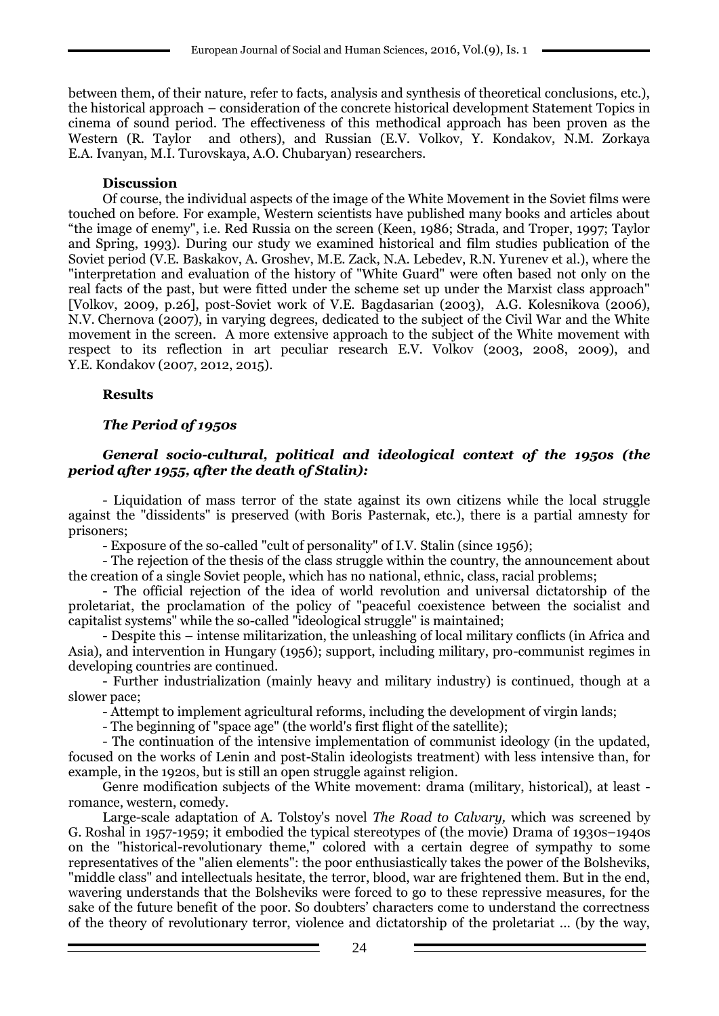between them, of their nature, refer to facts, analysis and synthesis of theoretical conclusions, etc.), the historical approach – consideration of the concrete historical development Statement Topics in cinema of sound period. The effectiveness of this methodical approach has been proven as the Western (R. Taylor and others), and Russian (E.V. Volkov, Y. Kondakov, N.M. Zorkaya E.A. Ivanyan, M.I. Turovskaya, A.O. Chubaryan) researchers.

### **Discussion**

Of course, the individual aspects of the image of the White Movement in the Soviet films were touched on before. For example, Western scientists have published many books and articles about "the image of enemy", i.e. Red Russia on the screen (Keen, 1986; Strada, and Troper, 1997; Taylor and Spring, 1993). During our study we examined historical and film studies publication of the Soviet period (V.E. Baskakov, A. Groshev, M.E. Zack, N.A. Lebedev, R.N. Yurenev et al.), where the "interpretation and evaluation of the history of "White Guard" were often based not only on the real facts of the past, but were fitted under the scheme set up under the Marxist class approach" [Volkov, 2009, p.26], post-Soviet work of V.E. Bagdasarian (2003), A.G. Kolesnikova (2006), N.V. Chernova (2007), in varying degrees, dedicated to the subject of the Civil War and the White movement in the screen. A more extensive approach to the subject of the White movement with respect to its reflection in art peculiar research E.V. Volkov (2003, 2008, 2009), and Y.E. Kondakov (2007, 2012, 2015).

### **Results**

# *The Period of 1950s*

### *General socio-cultural, political and ideological context of the 1950s (the period after 1955, after the death of Stalin):*

- Liquidation of mass terror of the state against its own citizens while the local struggle against the "dissidents" is preserved (with Boris Pasternak, etc.), there is a partial amnesty for prisoners;

- Exposure of the so-called "cult of personality" of I.V. Stalin (since 1956);

- The rejection of the thesis of the class struggle within the country, the announcement about the creation of a single Soviet people, which has no national, ethnic, class, racial problems;

- The official rejection of the idea of world revolution and universal dictatorship of the proletariat, the proclamation of the policy of "peaceful coexistence between the socialist and capitalist systems" while the so-called "ideological struggle" is maintained;

- Despite this – intense militarization, the unleashing of local military conflicts (in Africa and Asia), and intervention in Hungary (1956); support, including military, pro-communist regimes in developing countries are continued.

- Further industrialization (mainly heavy and military industry) is continued, though at a slower pace;

- Attempt to implement agricultural reforms, including the development of virgin lands;

- The beginning of "space age" (the world's first flight of the satellite);

- The continuation of the intensive implementation of communist ideology (in the updated, focused on the works of Lenin and post-Stalin ideologists treatment) with less intensive than, for example, in the 1920s, but is still an open struggle against religion.

Genre modification subjects of the White movement: drama (military, historical), at least romance, western, comedy.

Large-scale adaptation of A. Tolstoy's novel *The Road to Calvary,* which was screened by G. Roshal in 1957-1959; it embodied the typical stereotypes of (the movie) Drama of 1930s–1940s on the "historical-revolutionary theme," colored with a certain degree of sympathy to some representatives of the "alien elements": the poor enthusiastically takes the power of the Bolsheviks, "middle class" and intellectuals hesitate, the terror, blood, war are frightened them. But in the end, wavering understands that the Bolsheviks were forced to go to these repressive measures, for the sake of the future benefit of the poor. So doubters' characters come to understand the correctness of the theory of revolutionary terror, violence and dictatorship of the proletariat ... (by the way,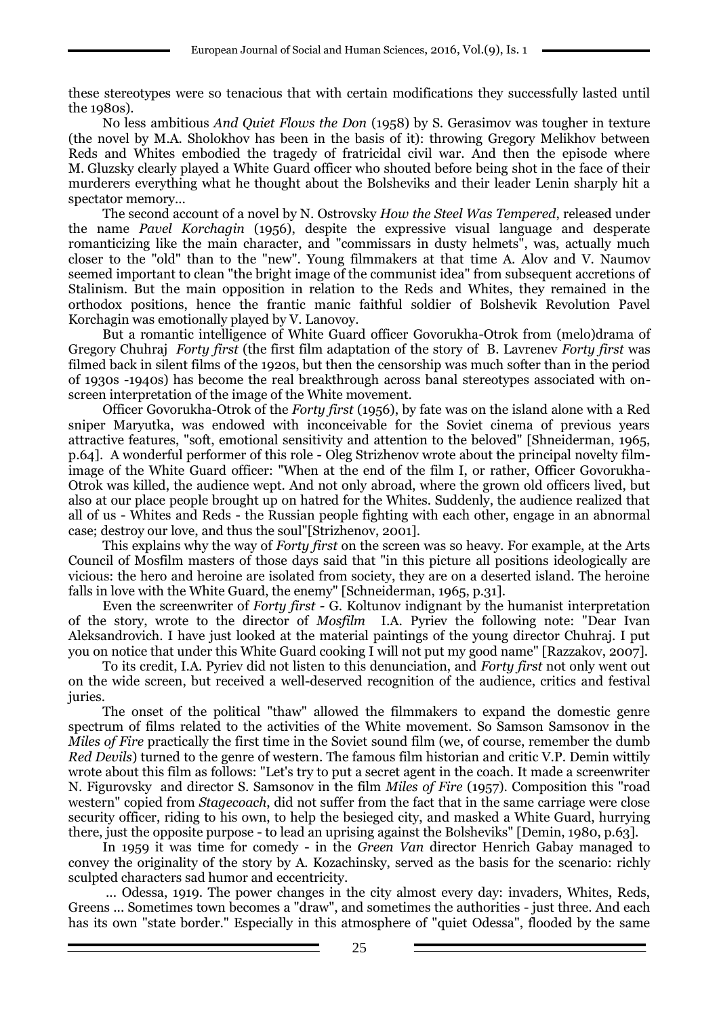these stereotypes were so tenacious that with certain modifications they successfully lasted until the 1980s).

No less ambitious *And Quiet Flows the Don* (1958) by S. Gerasimov was tougher in texture (the novel by M.A. Sholokhov has been in the basis of it): throwing Gregory Melikhov between Reds and Whites embodied the tragedy of fratricidal civil war. And then the episode where M. Gluzsky clearly played a White Guard officer who shouted before being shot in the face of their murderers everything what he thought about the Bolsheviks and their leader Lenin sharply hit a spectator memory...

The second account of a novel by N. Ostrovsky *How the Steel Was Tempered*, released under the name *Pavel Korchagin* (1956), despite the expressive visual language and desperate romanticizing like the main character, and "commissars in dusty helmets", was, actually much closer to the "old" than to the "new". Young filmmakers at that time A. Alov and V. Naumov seemed important to clean "the bright image of the communist idea" from subsequent accretions of Stalinism. But the main opposition in relation to the Reds and Whites, they remained in the orthodox positions, hence the frantic manic faithful soldier of Bolshevik Revolution Pavel Korchagin was emotionally played by V. Lanovoy.

But a romantic intelligence of White Guard officer Govorukha-Otrok from (melo)drama of Gregory Chuhraj *Forty first* (the first film adaptation of the story of B. Lavrenev *Forty first* was filmed back in silent films of the 1920s, but then the censorship was much softer than in the period of 1930s -1940s) has become the real breakthrough across banal stereotypes associated with onscreen interpretation of the image of the White movement.

Officer Govorukha-Otrok of the *Forty first* (1956), by fate was on the island alone with a Red sniper Maryutka, was endowed with inconceivable for the Soviet cinema of previous years attractive features, "soft, emotional sensitivity and attention to the beloved" [Shneiderman, 1965, p.64]. A wonderful performer of this role - Oleg Strizhenov wrote about the principal novelty filmimage of the White Guard officer: "When at the end of the film I, or rather, Officer Govorukha-Otrok was killed, the audience wept. And not only abroad, where the grown old officers lived, but also at our place people brought up on hatred for the Whites. Suddenly, the audience realized that all of us - Whites and Reds - the Russian people fighting with each other, engage in an abnormal case; destroy our love, and thus the soul"[Strizhenov, 2001].

This explains why the way of *Forty first* on the screen was so heavy. For example, at the Arts Council of Mosfilm masters of those days said that "in this picture all positions ideologically are vicious: the hero and heroine are isolated from society, they are on a deserted island. The heroine falls in love with the White Guard, the enemy" [Schneiderman, 1965, p.31].

Even the screenwriter of *Forty first -* G. Koltunov indignant by the humanist interpretation of the story, wrote to the director of *Mosfilm* I.A. Pyriev the following note: "Dear Ivan Aleksandrovich. I have just looked at the material paintings of the young director Chuhraj. I put you on notice that under this White Guard cooking I will not put my good name" [Razzakov, 2007].

To its credit, I.A. Pyriev did not listen to this denunciation, and *Forty first* not only went out on the wide screen, but received a well-deserved recognition of the audience, critics and festival juries.

The onset of the political "thaw" allowed the filmmakers to expand the domestic genre spectrum of films related to the activities of the White movement. So Samson Samsonov in the *Miles of Fire* practically the first time in the Soviet sound film (we, of course, remember the dumb *Red Devils*) turned to the genre of western. The famous film historian and critic V.P. Demin wittily wrote about this film as follows: "Let's try to put a secret agent in the coach. It made a screenwriter N. Figurovsky and director S. Samsonov in the film *Miles of Fire* (1957). Composition this "road western" copied from *Stagecoach*, did not suffer from the fact that in the same carriage were close security officer, riding to his own, to help the besieged city, and masked a White Guard, hurrying there, just the opposite purpose - to lead an uprising against the Bolsheviks" [Demin, 1980, p.63].

In 1959 it was time for comedy - in the *Green Van* director Henrich Gabay managed to convey the originality of the story by A. Kozachinsky, served as the basis for the scenario: richly sculpted characters sad humor and eccentricity.

... Odessa, 1919. The power changes in the city almost every day: invaders, Whites, Reds, Greens ... Sometimes town becomes a "draw", and sometimes the authorities - just three. And each has its own "state border." Especially in this atmosphere of "quiet Odessa", flooded by the same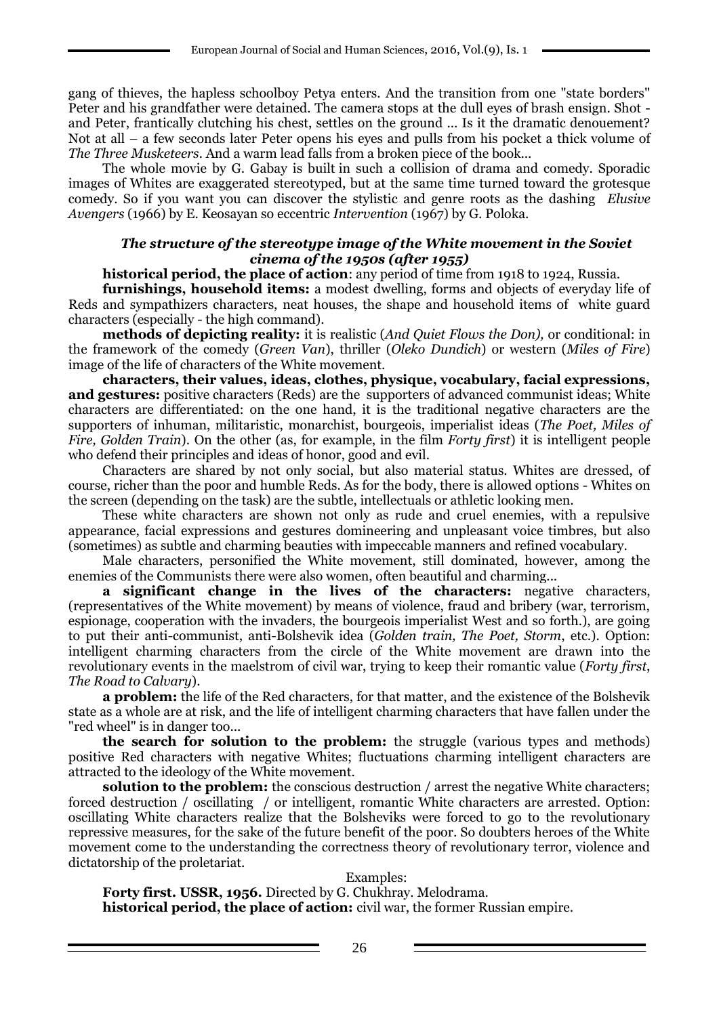gang of thieves, the hapless schoolboy Petya enters. And the transition from one "state borders" Peter and his grandfather were detained. The camera stops at the dull eyes of brash ensign. Shot and Peter, frantically clutching his chest, settles on the ground ... Is it the dramatic denouement? Not at all – a few seconds later Peter opens his eyes and pulls from his pocket a thick volume of *The Three Musketeers.* And a warm lead falls from a broken piece of the book...

The whole movie by G. Gabay is built in such a collision of drama and comedy. Sporadic images of Whites are exaggerated stereotyped, but at the same time turned toward the grotesque comedy. So if you want you can discover the stylistic and genre roots as the dashing *Elusive Avengers* (1966) by E. Keosayan so eccentric *Intervention* (1967) by G. Poloka.

### *The structure of the stereotype image of the White movement in the Soviet cinema of the 1950s (after 1955)*

**historical period, the place of action**: any period of time from 1918 to 1924, Russia.

**furnishings, household items:** a modest dwelling, forms and objects of everyday life of Reds and sympathizers characters, neat houses, the shape and household items of white guard characters (especially - the high command).

**methods of depicting reality:** it is realistic (*And Quiet Flows the Don),* or conditional: in the framework of the comedy (*Green Van*), thriller (*Oleko Dundich*) or western (*Miles of Fire*) image of the life of characters of the White movement.

**characters, their values, ideas, clothes, physique, vocabulary, facial expressions, and gestures:** positive characters (Reds) are the supporters of advanced communist ideas; White characters are differentiated: on the one hand, it is the traditional negative characters are the supporters of inhuman, militaristic, monarchist, bourgeois, imperialist ideas (*The Poet, Miles of Fire, Golden Train*). On the other (as, for example, in the film *Forty first*) it is intelligent people who defend their principles and ideas of honor, good and evil.

Characters are shared by not only social, but also material status. Whites are dressed, of course, richer than the poor and humble Reds. As for the body, there is allowed options - Whites on the screen (depending on the task) are the subtle, intellectuals or athletic looking men.

These white characters are shown not only as rude and cruel enemies, with a repulsive appearance, facial expressions and gestures domineering and unpleasant voice timbres, but also (sometimes) as subtle and charming beauties with impeccable manners and refined vocabulary.

Male characters, personified the White movement, still dominated, however, among the enemies of the Communists there were also women, often beautiful and charming...

**a significant change in the lives of the characters:** negative characters, (representatives of the White movement) by means of violence, fraud and bribery (war, terrorism, espionage, cooperation with the invaders, the bourgeois imperialist West and so forth.), are going to put their anti-communist, anti-Bolshevik idea (*Golden train, The Poet, Storm*, etc.). Option: intelligent charming characters from the circle of the White movement are drawn into the revolutionary events in the maelstrom of civil war, trying to keep their romantic value (*Forty first*, *The Road to Calvary*).

**a problem:** the life of the Red characters, for that matter, and the existence of the Bolshevik state as a whole are at risk, and the life of intelligent charming characters that have fallen under the "red wheel" is in danger too...

**the search for solution to the problem:** the struggle (various types and methods) positive Red characters with negative Whites; fluctuations charming intelligent characters are attracted to the ideology of the White movement.

**solution to the problem:** the conscious destruction / arrest the negative White characters; forced destruction / oscillating / or intelligent, romantic White characters are arrested. Option: oscillating White characters realize that the Bolsheviks were forced to go to the revolutionary repressive measures, for the sake of the future benefit of the poor. So doubters heroes of the White movement come to the understanding the correctness theory of revolutionary terror, violence and dictatorship of the proletariat.

#### Examples:

**Forty first. USSR, 1956.** Directed by G. Chukhray. Melodrama. **historical period, the place of action:** civil war, the former Russian empire.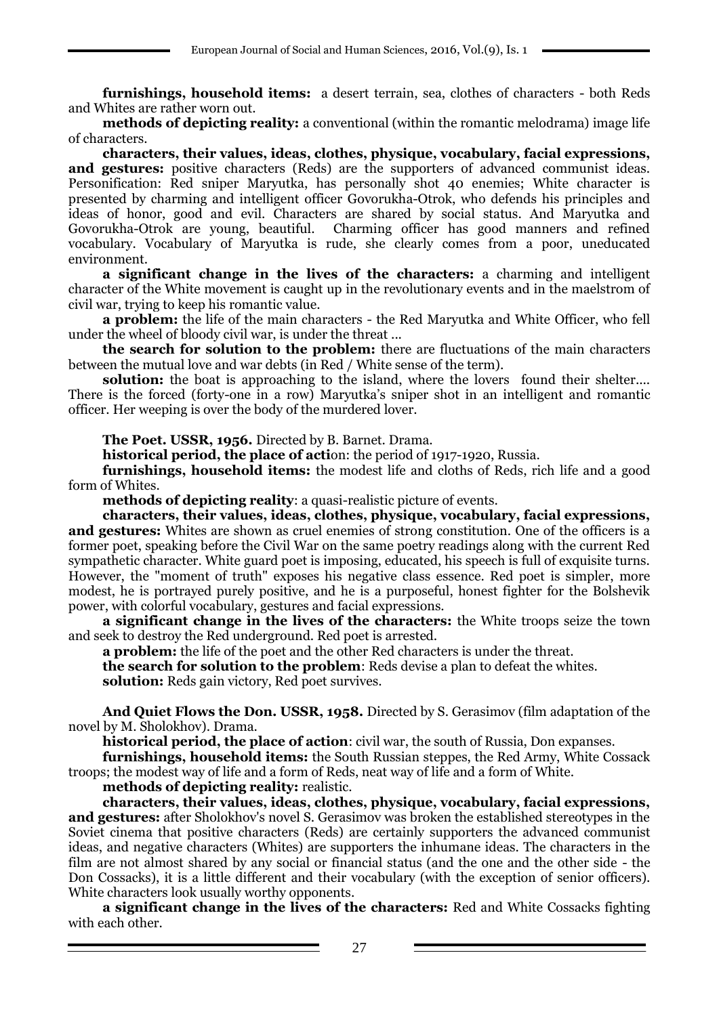**furnishings, household items:** a desert terrain, sea, clothes of characters - both Reds and Whites are rather worn out.

**methods of depicting reality:** a conventional (within the romantic melodrama) image life of characters.

**characters, their values, ideas, clothes, physique, vocabulary, facial expressions,**  and **gestures:** positive characters (Reds) are the supporters of advanced communist ideas. Personification: Red sniper Maryutka, has personally shot 40 enemies; White character is presented by charming and intelligent officer Govorukha-Otrok, who defends his principles and ideas of honor, good and evil. Characters are shared by social status. And Maryutka and Govorukha-Otrok are young, beautiful. Charming officer has good manners and refined vocabulary. Vocabulary of Maryutka is rude, she clearly comes from a poor, uneducated environment.

**a significant change in the lives of the characters:** a charming and intelligent character of the White movement is caught up in the revolutionary events and in the maelstrom of civil war, trying to keep his romantic value.

**a problem:** the life of the main characters - the Red Maryutka and White Officer, who fell under the wheel of bloody civil war, is under the threat ...

**the search for solution to the problem:** there are fluctuations of the main characters between the mutual love and war debts (in Red / White sense of the term).

**solution:** the boat is approaching to the island, where the lovers found their shelter.... There is the forced (forty-one in a row) Maryutka's sniper shot in an intelligent and romantic officer. Her weeping is over the body of the murdered lover.

**The Poet. USSR, 1956.** Directed by B. Barnet. Drama.

**historical period, the place of acti**on: the period of 1917-1920, Russia.

**furnishings, household items:** the modest life and cloths of Reds, rich life and a good form of Whites.

**methods of depicting reality**: a quasi-realistic picture of events.

**characters, their values, ideas, clothes, physique, vocabulary, facial expressions, and gestures:** Whites are shown as cruel enemies of strong constitution. One of the officers is a former poet, speaking before the Civil War on the same poetry readings along with the current Red sympathetic character. White guard poet is imposing, educated, his speech is full of exquisite turns. However, the "moment of truth" exposes his negative class essence. Red poet is simpler, more modest, he is portrayed purely positive, and he is a purposeful, honest fighter for the Bolshevik power, with colorful vocabulary, gestures and facial expressions.

**a significant change in the lives of the characters:** the White troops seize the town and seek to destroy the Red underground. Red poet is arrested.

**a problem:** the life of the poet and the other Red characters is under the threat.

**the search for solution to the problem**: Reds devise a plan to defeat the whites.

**solution:** Reds gain victory, Red poet survives.

**And Quiet Flows the Don. USSR, 1958.** Directed by S. Gerasimov (film adaptation of the novel by M. Sholokhov). Drama.

**historical period, the place of action**: civil war, the south of Russia, Don expanses.

**furnishings, household items:** the South Russian steppes, the Red Army, White Cossack troops; the modest way of life and a form of Reds, neat way of life and a form of White.

**methods of depicting reality:** realistic.

**characters, their values, ideas, clothes, physique, vocabulary, facial expressions, and gestures:** after Sholokhov's novel S. Gerasimov was broken the established stereotypes in the Soviet cinema that positive characters (Reds) are certainly supporters the advanced communist ideas, and negative characters (Whites) are supporters the inhumane ideas. The characters in the film are not almost shared by any social or financial status (and the one and the other side - the Don Cossacks), it is a little different and their vocabulary (with the exception of senior officers). White characters look usually worthy opponents.

**a significant change in the lives of the characters:** Red and White Cossacks fighting with each other.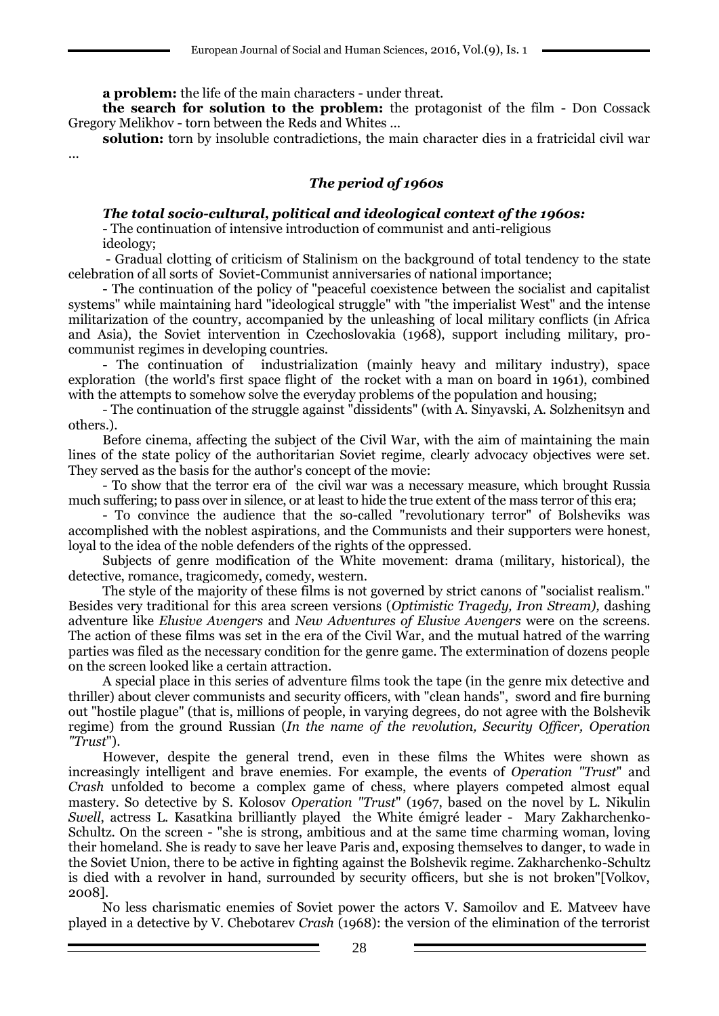**a problem:** the life of the main characters - under threat.

**the search for solution to the problem:** the protagonist of the film - Don Cossack Gregory Melikhov - torn between the Reds and Whites ...

**solution:** torn by insoluble contradictions, the main character dies in a fratricidal civil war

...

### *The period of 1960s*

### *The total socio-cultural, political and ideological context of the 1960s:*

- The continuation of intensive introduction of communist and anti-religious ideology;

- Gradual clotting of criticism of Stalinism on the background of total tendency to the state celebration of all sorts of Soviet-Communist anniversaries of national importance;

- The continuation of the policy of "peaceful coexistence between the socialist and capitalist systems" while maintaining hard "ideological struggle" with "the imperialist West" and the intense militarization of the country, accompanied by the unleashing of local military conflicts (in Africa and Asia), the Soviet intervention in Czechoslovakia (1968), support including military, procommunist regimes in developing countries.

- The continuation of industrialization (mainly heavy and military industry), space exploration (the world's first space flight of the rocket with a man on board in 1961), combined with the attempts to somehow solve the everyday problems of the population and housing;

- The continuation of the struggle against "dissidents" (with A. Sinyavski, A. Solzhenitsyn and others.).

Before cinema, affecting the subject of the Civil War, with the aim of maintaining the main lines of the state policy of the authoritarian Soviet regime, clearly advocacy objectives were set. They served as the basis for the author's concept of the movie:

- To show that the terror era of the civil war was a necessary measure, which brought Russia much suffering; to pass over in silence, or at least to hide the true extent of the mass terror of this era;

- To convince the audience that the so-called "revolutionary terror" of Bolsheviks was accomplished with the noblest aspirations, and the Communists and their supporters were honest, loyal to the idea of the noble defenders of the rights of the oppressed.

Subjects of genre modification of the White movement: drama (military, historical), the detective, romance, tragicomedy, comedy, western.

The style of the majority of these films is not governed by strict canons of "socialist realism." Besides very traditional for this area screen versions (*Optimistic Tragedy, Iron Stream),* dashing adventure like *Elusive Avengers* and *New Adventures of Elusive Avengers* were on the screens. The action of these films was set in the era of the Civil War, and the mutual hatred of the warring parties was filed as the necessary condition for the genre game. The extermination of dozens people on the screen looked like a certain attraction.

A special place in this series of adventure films took the tape (in the genre mix detective and thriller) about clever communists and security officers, with "clean hands", sword and fire burning out "hostile plague" (that is, millions of people, in varying degrees, do not agree with the Bolshevik regime) from the ground Russian (*In the name of the revolution, Security Officer, Operation "Trust*").

However, despite the general trend, even in these films the Whites were shown as increasingly intelligent and brave enemies. For example, the events of *Operation "Trust*" and *Crash* unfolded to become a complex game of chess, where players competed almost equal mastery. So detective by S. Kolosov *Operation "Trust*" (1967, based on the novel by L. Nikulin *Swell*, actress L. Kasatkina brilliantly played the White émigré leader - Mary Zakharchenko-Schultz. On the screen - "she is strong, ambitious and at the same time charming woman, loving their homeland. She is ready to save her leave Paris and, exposing themselves to danger, to wade in the Soviet Union, there to be active in fighting against the Bolshevik regime. Zakharchenko-Schultz is died with a revolver in hand, surrounded by security officers, but she is not broken"[Volkov, 2008].

No less charismatic enemies of Soviet power the actors V. Samoilov and E. Matveev have played in a detective by V. Chebotarev *Crash* (1968): the version of the elimination of the terrorist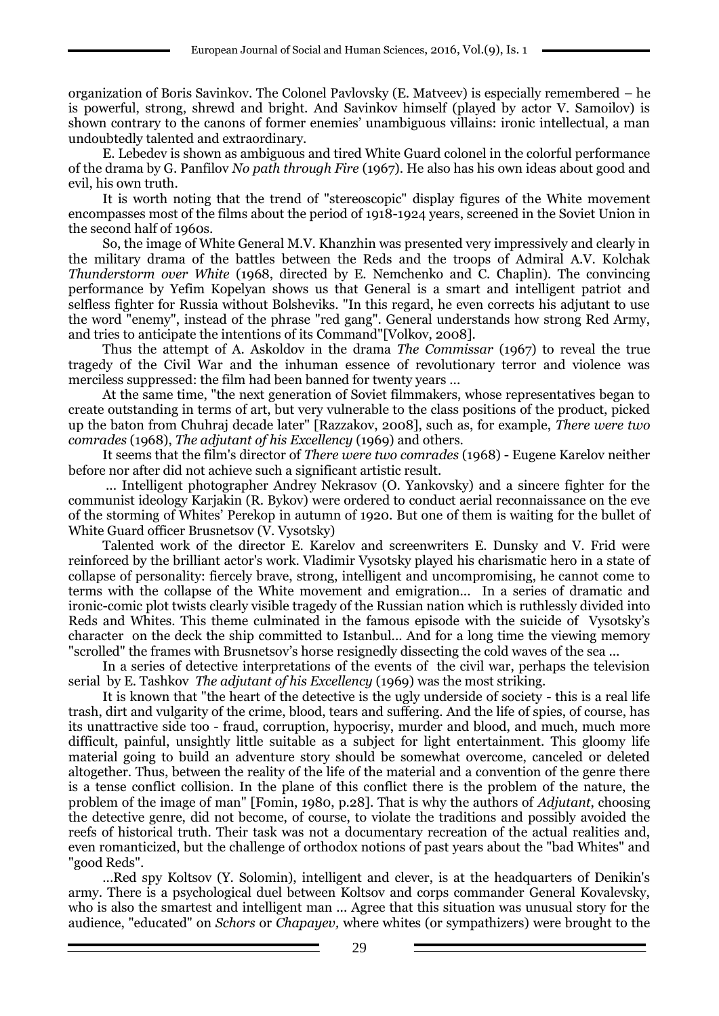organization of Boris Savinkov. The Colonel Pavlovsky (E. Matveev) is especially remembered – he is powerful, strong, shrewd and bright. And Savinkov himself (played by actor V. Samoilov) is shown contrary to the canons of former enemies' unambiguous villains: ironic intellectual, a man undoubtedly talented and extraordinary.

E. Lebedev is shown as ambiguous and tired White Guard colonel in the colorful performance of the drama by G. Panfilov *No path through Fire* (1967). He also has his own ideas about good and evil, his own truth.

It is worth noting that the trend of "stereoscopic" display figures of the White movement encompasses most of the films about the period of 1918-1924 years, screened in the Soviet Union in the second half of 1960s.

So, the image of White General M.V. Khanzhin was presented very impressively and clearly in the military drama of the battles between the Reds and the troops of Admiral A.V. Kolchak *Thunderstorm over White* (1968, directed by E. Nemchenko and C. Chaplin). The convincing performance by Yefim Kopelyan shows us that General is a smart and intelligent patriot and selfless fighter for Russia without Bolsheviks. "In this regard, he even corrects his adjutant to use the word "enemy", instead of the phrase "red gang". General understands how strong Red Army, and tries to anticipate the intentions of its Command"[Volkov, 2008].

Thus the attempt of A. Askoldov in the drama *The Commissar* (1967) to reveal the true tragedy of the Civil War and the inhuman essence of revolutionary terror and violence was merciless suppressed: the film had been banned for twenty years ...

At the same time, "the next generation of Soviet filmmakers, whose representatives began to create outstanding in terms of art, but very vulnerable to the class positions of the product, picked up the baton from Chuhraj decade later" [Razzakov, 2008], such as, for example, *There were two comrades* (1968), *The adjutant of his Excellency* (1969) and others.

It seems that the film's director of *There were two comrades* (1968) - Eugene Karelov neither before nor after did not achieve such a significant artistic result.

... Intelligent photographer Andrey Nekrasov (O. Yankovsky) and a sincere fighter for the communist ideology Karjakin (R. Bykov) were ordered to conduct aerial reconnaissance on the eve of the storming of Whites' Perekop in autumn of 1920. But one of them is waiting for the bullet of White Guard officer Brusnetsov (V. Vysotsky)

Talented work of the director E. Karelov and screenwriters E. Dunsky and V. Frid were reinforced by the brilliant actor's work. Vladimir Vysotsky played his charismatic hero in a state of collapse of personality: fiercely brave, strong, intelligent and uncompromising, he cannot come to terms with the collapse of the White movement and emigration... In a series of dramatic and ironic-comic plot twists clearly visible tragedy of the Russian nation which is ruthlessly divided into Reds and Whites. This theme culminated in the famous episode with the suicide of Vysotsky's character on the deck the ship committed to Istanbul... And for a long time the viewing memory "scrolled" the frames with Brusnetsov's horse resignedly dissecting the cold waves of the sea ...

In a series of detective interpretations of the events of the civil war, perhaps the television serial by E. Tashkov *The adjutant of his Excellency* (1969) was the most striking.

It is known that "the heart of the detective is the ugly underside of society - this is a real life trash, dirt and vulgarity of the crime, blood, tears and suffering. And the life of spies, of course, has its unattractive side too - fraud, corruption, hypocrisy, murder and blood, and much, much more difficult, painful, unsightly little suitable as a subject for light entertainment. This gloomy life material going to build an adventure story should be somewhat overcome, canceled or deleted altogether. Thus, between the reality of the life of the material and a convention of the genre there is a tense conflict collision. In the plane of this conflict there is the problem of the nature, the problem of the image of man" [Fomin, 1980, p.28]. That is why the authors of *Adjutant*, choosing the detective genre, did not become, of course, to violate the traditions and possibly avoided the reefs of historical truth. Their task was not a documentary recreation of the actual realities and, even romanticized, but the challenge of orthodox notions of past years about the "bad Whites" and "good Reds".

...Red spy Koltsov (Y. Solomin), intelligent and clever, is at the headquarters of Denikin's army. There is a psychological duel between Koltsov and corps commander General Kovalevsky, who is also the smartest and intelligent man ... Agree that this situation was unusual story for the audience, "educated" on *Schors* or *Chapayev,* where whites (or sympathizers) were brought to the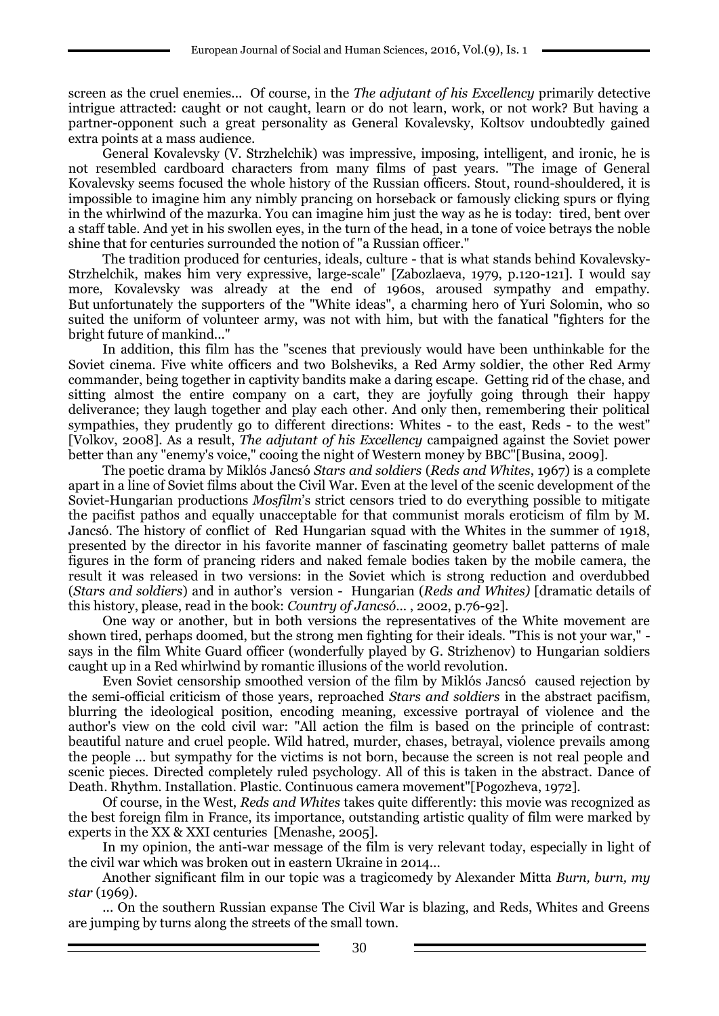screen as the cruel enemies... Of course, in the *The adjutant of his Excellency* primarily detective intrigue attracted: caught or not caught, learn or do not learn, work, or not work? But having a partner-opponent such a great personality as General Kovalevsky, Koltsov undoubtedly gained extra points at a mass audience.

General Kovalevsky (V. Strzhelchik) was impressive, imposing, intelligent, and ironic, he is not resembled cardboard characters from many films of past years. "The image of General Kovalevsky seems focused the whole history of the Russian officers. Stout, round-shouldered, it is impossible to imagine him any nimbly prancing on horseback or famously clicking spurs or flying in the whirlwind of the mazurka. You can imagine him just the way as he is today: tired, bent over a staff table. And yet in his swollen eyes, in the turn of the head, in a tone of voice betrays the noble shine that for centuries surrounded the notion of "a Russian officer."

The tradition produced for centuries, ideals, culture - that is what stands behind Kovalevsky-Strzhelchik, makes him very expressive, large-scale" [Zabozlaeva, 1979, p.120-121]. I would say more, Kovalevsky was already at the end of 1960s, aroused sympathy and empathy. But unfortunately the supporters of the "White ideas", a charming hero of Yuri Solomin, who so suited the uniform of volunteer army, was not with him, but with the fanatical "fighters for the bright future of mankind..."

In addition, this film has the "scenes that previously would have been unthinkable for the Soviet cinema. Five white officers and two Bolsheviks, a Red Army soldier, the other Red Army commander, being together in captivity bandits make a daring escape. Getting rid of the chase, and sitting almost the entire company on a cart, they are joyfully going through their happy deliverance; they laugh together and play each other. And only then, remembering their political sympathies, they prudently go to different directions: Whites - to the east, Reds - to the west" [Volkov, 2008]. As a result, *The adjutant of his Excellency* campaigned against the Soviet power better than any "enemy's voice," cooing the night of Western money by BBC"[Busina, 2009].

The poetic drama by Miklós Jancsó *Stars and soldiers* (*Reds and Whites*, 1967) is a complete apart in a line of Soviet films about the Civil War. Even at the level of the scenic development of the Soviet-Hungarian productions *Mosfilm*'s strict censors tried to do everything possible to mitigate the pacifist pathos and equally unacceptable for that communist morals eroticism of film by M. Jancsó. The history of conflict of Red Hungarian squad with the Whites in the summer of 1918, presented by the director in his favorite manner of fascinating geometry ballet patterns of male figures in the form of prancing riders and naked female bodies taken by the mobile camera, the result it was released in two versions: in the Soviet which is strong reduction and overdubbed (*Stars and soldiers*) and in author's version - Hungarian (*Reds and Whites)* [dramatic details of this history, please, read in the book: *Country of Jancsó*... , 2002, p.76-92].

One way or another, but in both versions the representatives of the White movement are shown tired, perhaps doomed, but the strong men fighting for their ideals. "This is not your war," says in the film White Guard officer (wonderfully played by G. Strizhenov) to Hungarian soldiers caught up in a Red whirlwind by romantic illusions of the world revolution.

Even Soviet censorship smoothed version of the film by Miklós Jancsó caused rejection by the semi-official criticism of those years, reproached *Stars and soldiers* in the abstract pacifism, blurring the ideological position, encoding meaning, excessive portrayal of violence and the author's view on the cold civil war: "All action the film is based on the principle of contrast: beautiful nature and cruel people. Wild hatred, murder, chases, betrayal, violence prevails among the people ... but sympathy for the victims is not born, because the screen is not real people and scenic pieces. Directed completely ruled psychology. All of this is taken in the abstract. Dance of Death. Rhythm. Installation. Plastic. Continuous camera movement"[Pogozheva, 1972].

Of course, in the West, *Reds and Whites* takes quite differently: this movie was recognized as the best foreign film in France, its importance, outstanding artistic quality of film were marked by experts in the XX & XXI centuries [Menashe, 2005].

In my opinion, the anti-war message of the film is very relevant today, especially in light of the civil war which was broken out in eastern Ukraine in 2014...

Another significant film in our topic was a tragicomedy by Alexander Mitta *Burn, burn, my star* (1969).

... On the southern Russian expanse The Civil War is blazing, and Reds, Whites and Greens are jumping by turns along the streets of the small town.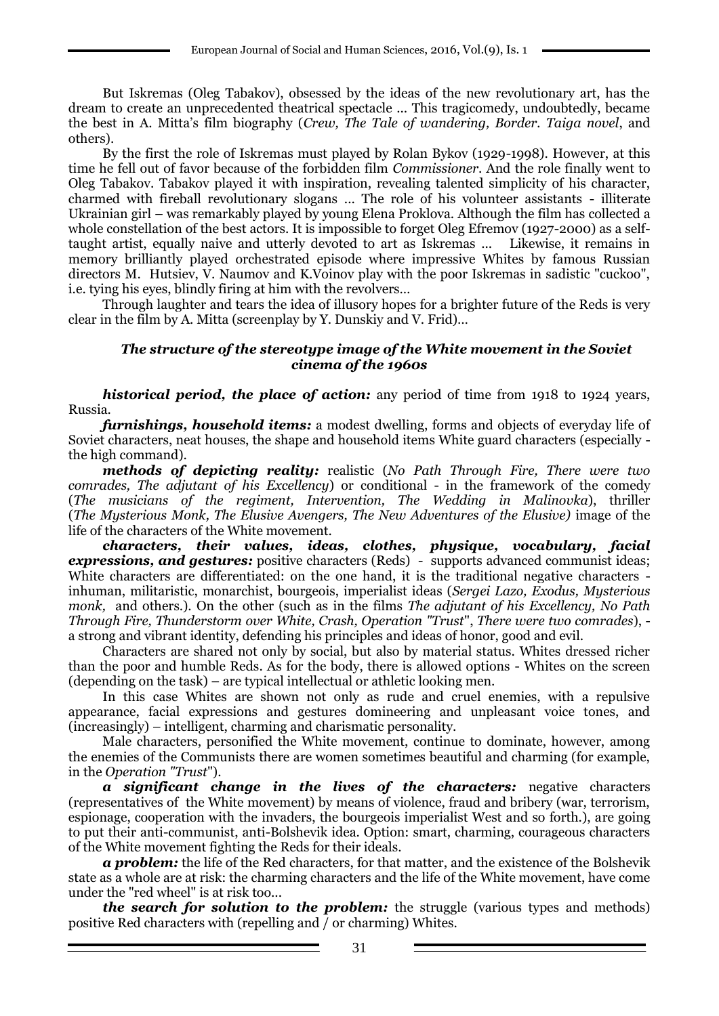But Iskremas (Oleg Tabakov), obsessed by the ideas of the new revolutionary art, has the dream to create an unprecedented theatrical spectacle ... This tragicomedy, undoubtedly, became the best in A. Mitta's film biography (*Crew, The Tale of wandering, Border. Taiga novel*, and others).

By the first the role of Iskremas must played by Rolan Bykov (1929-1998). However, at this time he fell out of favor because of the forbidden film *Commissioner*. And the role finally went to Oleg Tabakov. Tabakov played it with inspiration, revealing talented simplicity of his character, charmed with fireball revolutionary slogans ... The role of his volunteer assistants - illiterate Ukrainian girl – was remarkably played by young Elena Proklova. Although the film has collected a whole constellation of the best actors. It is impossible to forget Oleg Efremov (1927-2000) as a selftaught artist, equally naive and utterly devoted to art as Iskremas ... Likewise, it remains in memory brilliantly played orchestrated episode where impressive Whites by famous Russian directors M. Hutsiev, V. Naumov and K.Voinov play with the poor Iskremas in sadistic "cuckoo", i.e. tying his eyes, blindly firing at him with the revolvers…

Through laughter and tears the idea of illusory hopes for a brighter future of the Reds is very clear in the film by A. Mitta (screenplay by Y. Dunskiy and V. Frid)…

### *The structure of the stereotype image of the White movement in the Soviet cinema of the 1960s*

*historical period, the place of action:* any period of time from 1918 to 1924 years, Russia.

*furnishings, household items:* a modest dwelling, forms and objects of everyday life of Soviet characters, neat houses, the shape and household items White guard characters (especially the high command).

*methods of depicting reality:* realistic (*No Path Through Fire, There were two comrades, The adjutant of his Excellency*) or conditional - in the framework of the comedy (*The musicians of the regiment, Intervention, The Wedding in Malinovka*), thriller (*The Mysterious Monk, The Elusive Avengers, The New Adventures of the Elusive)* image of the life of the characters of the White movement.

*characters, their values, ideas, clothes, physique, vocabulary, facial expressions, and gestures:* positive characters (Reds) - supports advanced communist ideas; White characters are differentiated: on the one hand, it is the traditional negative characters inhuman, militaristic, monarchist, bourgeois, imperialist ideas (*Sergei Lazo, Exodus, Mysterious monk,* and others.). On the other (such as in the films *The adjutant of his Excellency, No Path Through Fire, Thunderstorm over White, Crash, Operation "Trust*", *There were two comrades*), a strong and vibrant identity, defending his principles and ideas of honor, good and evil.

Characters are shared not only by social, but also by material status. Whites dressed richer than the poor and humble Reds. As for the body, there is allowed options - Whites on the screen (depending on the task) – are typical intellectual or athletic looking men.

In this case Whites are shown not only as rude and cruel enemies, with a repulsive appearance, facial expressions and gestures domineering and unpleasant voice tones, and (increasingly) – intelligent, charming and charismatic personality.

Male characters, personified the White movement, continue to dominate, however, among the enemies of the Communists there are women sometimes beautiful and charming (for example, in the *Operation "Trust*").

*a significant change in the lives of the characters:* negative characters (representatives of the White movement) by means of violence, fraud and bribery (war, terrorism, espionage, cooperation with the invaders, the bourgeois imperialist West and so forth.), are going to put their anti-communist, anti-Bolshevik idea. Option: smart, charming, courageous characters of the White movement fighting the Reds for their ideals.

*a problem:* the life of the Red characters, for that matter, and the existence of the Bolshevik state as a whole are at risk: the charming characters and the life of the White movement, have come under the "red wheel" is at risk too...

*the search for solution to the problem:* the struggle (various types and methods) positive Red characters with (repelling and / or charming) Whites.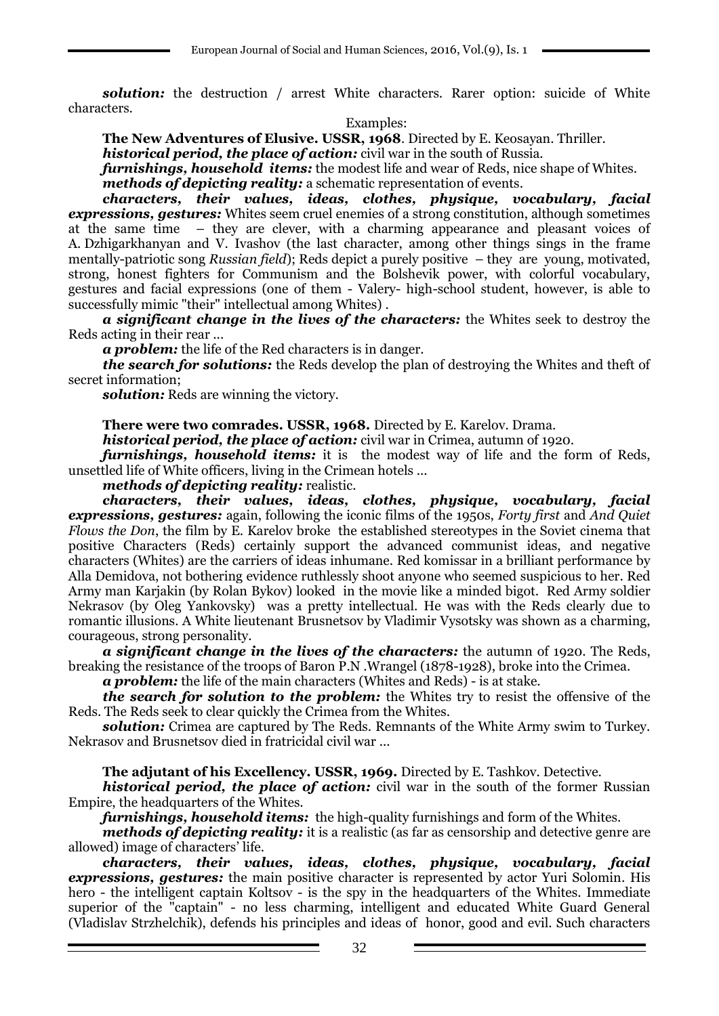*solution:* the destruction / arrest White characters. Rarer option: suicide of White characters.

### Examples:

**The New Adventures of Elusive. USSR, 1968**. Directed by E. Keosayan. Thriller.

*historical period, the place of action:* civil war in the south of Russia.

*furnishings, household items:* the modest life and wear of Reds, nice shape of Whites. *methods of depicting reality:* a schematic representation of events.

*characters, their values, ideas, clothes, physique, vocabulary, facial expressions, gestures:* Whites seem cruel enemies of a strong constitution, although sometimes at the same time – they are clever, with a charming appearance and pleasant voices of A. Dzhigarkhanyan and V. Ivashov (the last character, among other things sings in the frame mentally-patriotic song *Russian field*); Reds depict a purely positive – they are young, motivated, strong, honest fighters for Communism and the Bolshevik power, with colorful vocabulary, gestures and facial expressions (one of them - Valery- high-school student, however, is able to successfully mimic "their" intellectual among Whites) .

*a significant change in the lives of the characters:* the Whites seek to destroy the Reds acting in their rear ...

*a problem:* the life of the Red characters is in danger.

*the search for solutions:* the Reds develop the plan of destroying the Whites and theft of secret information;

*solution:* Reds are winning the victory.

**There were two comrades. USSR, 1968.** Directed by E. Karelov. Drama.

*historical period, the place of action:* civil war in Crimea, autumn of 1920.

*furnishings, household items:* it is the modest way of life and the form of Reds, unsettled life of White officers, living in the Crimean hotels ...

*methods of depicting reality:* realistic.

*characters, their values, ideas, clothes, physique, vocabulary, facial expressions, gestures:* again, following the iconic films of the 1950s, *Forty first* and *And Quiet Flows the Don*, the film by E. Karelov broke the established stereotypes in the Soviet cinema that positive Characters (Reds) certainly support the advanced communist ideas, and negative characters (Whites) are the carriers of ideas inhumane. Red komissar in a brilliant performance by Alla Demidova, not bothering evidence ruthlessly shoot anyone who seemed suspicious to her. Red Army man Karjakin (by Rolan Bykov) looked in the movie like a minded bigot. Red Army soldier Nekrasov (by Oleg Yankovsky) was a pretty intellectual. He was with the Reds clearly due to romantic illusions. A White lieutenant Brusnetsov by Vladimir Vysotsky was shown as a charming, courageous, strong personality.

*a significant change in the lives of the characters:* the autumn of 1920. The Reds, breaking the resistance of the troops of Baron P.N .Wrangel (1878-1928), broke into the Crimea.

*a problem:* the life of the main characters (Whites and Reds) - is at stake.

*the search for solution to the problem:* the Whites try to resist the offensive of the Reds. The Reds seek to clear quickly the Crimea from the Whites.

*solution:* Crimea are captured by The Reds. Remnants of the White Army swim to Turkey. Nekrasov and Brusnetsov died in fratricidal civil war ...

**The adjutant of his Excellency. USSR, 1969.** Directed by E. Tashkov. Detective.

*historical period, the place of action:* civil war in the south of the former Russian Empire, the headquarters of the Whites.

*furnishings, household items:* the high-quality furnishings and form of the Whites.

*methods of depicting reality:* it is a realistic (as far as censorship and detective genre are allowed) image of characters' life.

*characters, their values, ideas, clothes, physique, vocabulary, facial expressions, gestures:* the main positive character is represented by actor Yuri Solomin. His hero - the intelligent captain Koltsov - is the spy in the headquarters of the Whites. Immediate superior of the "captain" - no less charming, intelligent and educated White Guard General (Vladislav Strzhelchik), defends his principles and ideas of honor, good and evil. Such characters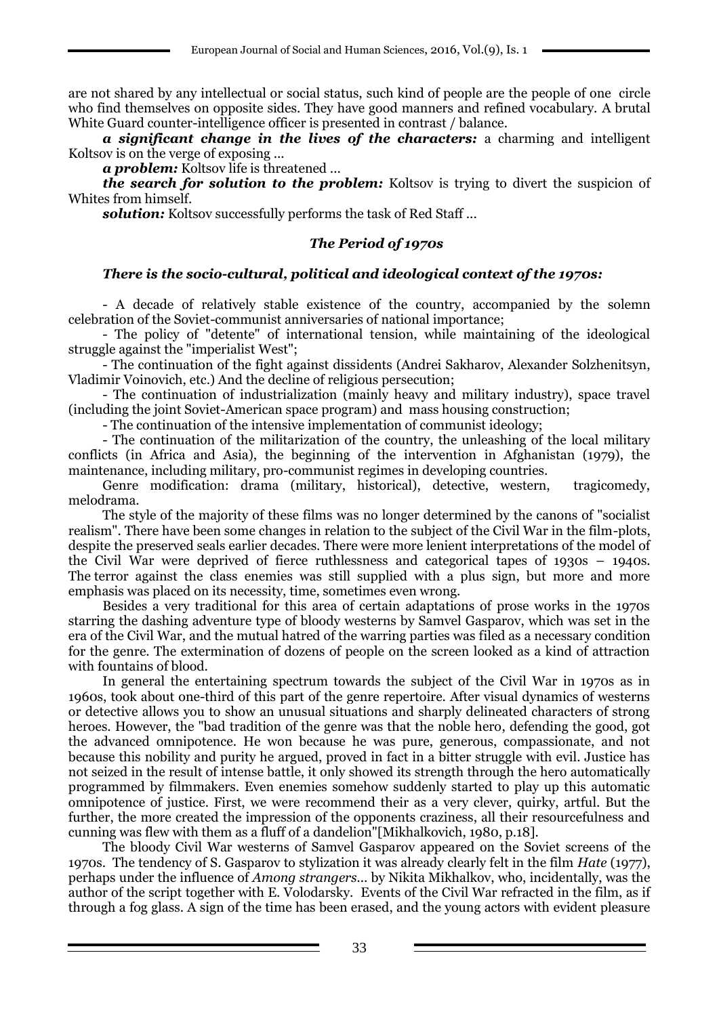are not shared by any intellectual or social status, such kind of people are the people of one circle who find themselves on opposite sides. They have good manners and refined vocabulary. A brutal White Guard counter-intelligence officer is presented in contrast / balance.

*a significant change in the lives of the characters:* a charming and intelligent Koltsov is on the verge of exposing ...

*a problem:* Koltsov life is threatened ...

*the search for solution to the problem:* Koltsov is trying to divert the suspicion of Whites from himself.

*solution:* Koltsov successfully performs the task of Red Staff ...

### *The Period of 1970s*

### *There is the socio-cultural, political and ideological context of the 1970s:*

- A decade of relatively stable existence of the country, accompanied by the solemn celebration of the Soviet-communist anniversaries of national importance;

- The policy of "detente" of international tension, while maintaining of the ideological struggle against the "imperialist West";

- The continuation of the fight against dissidents (Andrei Sakharov, Alexander Solzhenitsyn, Vladimir Voinovich, etc.) And the decline of religious persecution;

- The continuation of industrialization (mainly heavy and military industry), space travel (including the joint Soviet-American space program) and mass housing construction;

- The continuation of the intensive implementation of communist ideology;

- The continuation of the militarization of the country, the unleashing of the local military conflicts (in Africa and Asia), the beginning of the intervention in Afghanistan (1979), the maintenance, including military, pro-communist regimes in developing countries.

Genre modification: drama (military, historical), detective, western, tragicomedy, melodrama.

The style of the majority of these films was no longer determined by the canons of "socialist realism". There have been some changes in relation to the subject of the Civil War in the film-plots, despite the preserved seals earlier decades. There were more lenient interpretations of the model of the Civil War were deprived of fierce ruthlessness and categorical tapes of 1930s – 1940s. The terror against the class enemies was still supplied with a plus sign, but more and more emphasis was placed on its necessity, time, sometimes even wrong.

Besides a very traditional for this area of certain adaptations of prose works in the 1970s starring the dashing adventure type of bloody westerns by Samvel Gasparov, which was set in the era of the Civil War, and the mutual hatred of the warring parties was filed as a necessary condition for the genre. The extermination of dozens of people on the screen looked as a kind of attraction with fountains of blood.

In general the entertaining spectrum towards the subject of the Civil War in 1970s as in 1960s, took about one-third of this part of the genre repertoire. After visual dynamics of westerns or detective allows you to show an unusual situations and sharply delineated characters of strong heroes. However, the "bad tradition of the genre was that the noble hero, defending the good, got the advanced omnipotence. He won because he was pure, generous, compassionate, and not because this nobility and purity he argued, proved in fact in a bitter struggle with evil. Justice has not seized in the result of intense battle, it only showed its strength through the hero automatically programmed by filmmakers. Even enemies somehow suddenly started to play up this automatic omnipotence of justice. First, we were recommend their as a very clever, quirky, artful. But the further, the more created the impression of the opponents craziness, all their resourcefulness and cunning was flew with them as a fluff of a dandelion"[Mikhalkovich, 1980, p.18].

The bloody Civil War westerns of Samvel Gasparov appeared on the Soviet screens of the 1970s. The tendency of S. Gasparov to stylization it was already clearly felt in the film *Hate* (1977), perhaps under the influence of *Among strangers.*.. by Nikita Mikhalkov, who, incidentally, was the author of the script together with E. Volodarsky. Events of the Civil War refracted in the film, as if through a fog glass. A sign of the time has been erased, and the young actors with evident pleasure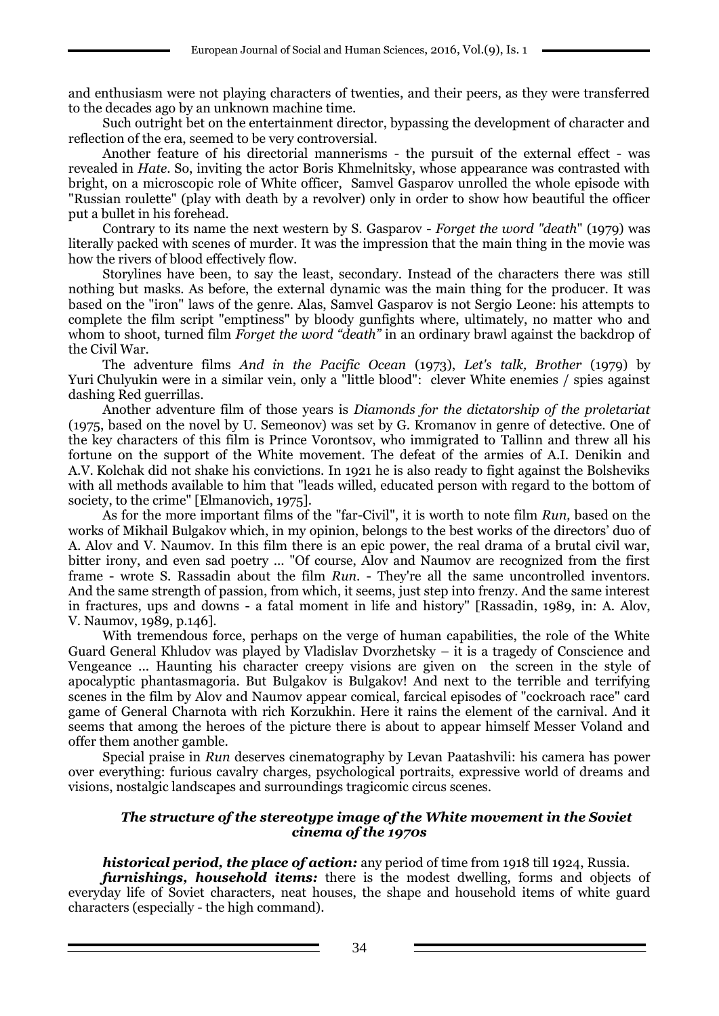and enthusiasm were not playing characters of twenties, and their peers, as they were transferred to the decades ago by an unknown machine time.

Such outright bet on the entertainment director, bypassing the development of character and reflection of the era, seemed to be very controversial.

Another feature of his directorial mannerisms - the pursuit of the external effect - was revealed in *Hate*. So, inviting the actor Boris Khmelnitsky, whose appearance was contrasted with bright, on a microscopic role of White officer, Samvel Gasparov unrolled the whole episode with "Russian roulette" (play with death by a revolver) only in order to show how beautiful the officer put a bullet in his forehead.

Contrary to its name the next western by S. Gasparov - *Forget the word "death*" (1979) was literally packed with scenes of murder. It was the impression that the main thing in the movie was how the rivers of blood effectively flow.

Storylines have been, to say the least, secondary. Instead of the characters there was still nothing but masks. As before, the external dynamic was the main thing for the producer. It was based on the "iron" laws of the genre. Alas, Samvel Gasparov is not Sergio Leone: his attempts to complete the film script "emptiness" by bloody gunfights where, ultimately, no matter who and whom to shoot, turned film *Forget the word "death"* in an ordinary brawl against the backdrop of the Civil War.

The adventure films *And in the Pacific Ocean* (1973), *Let's talk, Brother* (1979) by Yuri Chulyukin were in a similar vein, only a "little blood": clever White enemies / spies against dashing Red guerrillas.

Another adventure film of those years is *Diamonds for the dictatorship of the proletariat* (1975, based on the novel by U. Semeonov) was set by G. Kromanov in genre of detective. One of the key characters of this film is Prince Vorontsov, who immigrated to Tallinn and threw all his fortune on the support of the White movement. The defeat of the armies of A.I. Denikin and A.V. Kolchak did not shake his convictions. In 1921 he is also ready to fight against the Bolsheviks with all methods available to him that "leads willed, educated person with regard to the bottom of society, to the crime" [Elmanovich, 1975].

As for the more important films of the "far-Civil", it is worth to note film *Run,* based on the works of Mikhail Bulgakov which, in my opinion, belongs to the best works of the directors' duo of A. Alov and V. Naumov. In this film there is an epic power, the real drama of a brutal civil war, bitter irony, and even sad poetry ... "Of course, Alov and Naumov are recognized from the first frame - wrote S. Rassadin about the film *Run*. - They're all the same uncontrolled inventors. And the same strength of passion, from which, it seems, just step into frenzy. And the same interest in fractures, ups and downs - a fatal moment in life and history" [Rassadin, 1989, in: A. Alov, V. Naumov, 1989, p.146].

With tremendous force, perhaps on the verge of human capabilities, the role of the White Guard General Khludov was played by Vladislav Dvorzhetsky – it is a tragedy of Conscience and Vengeance ... Haunting his character creepy visions are given on the screen in the style of apocalyptic phantasmagoria. But Bulgakov is Bulgakov! And next to the terrible and terrifying scenes in the film by Alov and Naumov appear comical, farcical episodes of "cockroach race" card game of General Charnota with rich Korzukhin. Here it rains the element of the carnival. And it seems that among the heroes of the picture there is about to appear himself Messer Voland and offer them another gamble.

Special praise in *Run* deserves cinematography by Levan Paatashvili: his camera has power over everything: furious cavalry charges, psychological portraits, expressive world of dreams and visions, nostalgic landscapes and surroundings tragicomic circus scenes.

### *The structure of the stereotype image of the White movement in the Soviet cinema of the 1970s*

### *historical period, the place of action:* any period of time from 1918 till 1924, Russia.

*furnishings, household items:* there is the modest dwelling, forms and objects of everyday life of Soviet characters, neat houses, the shape and household items of white guard characters (especially - the high command).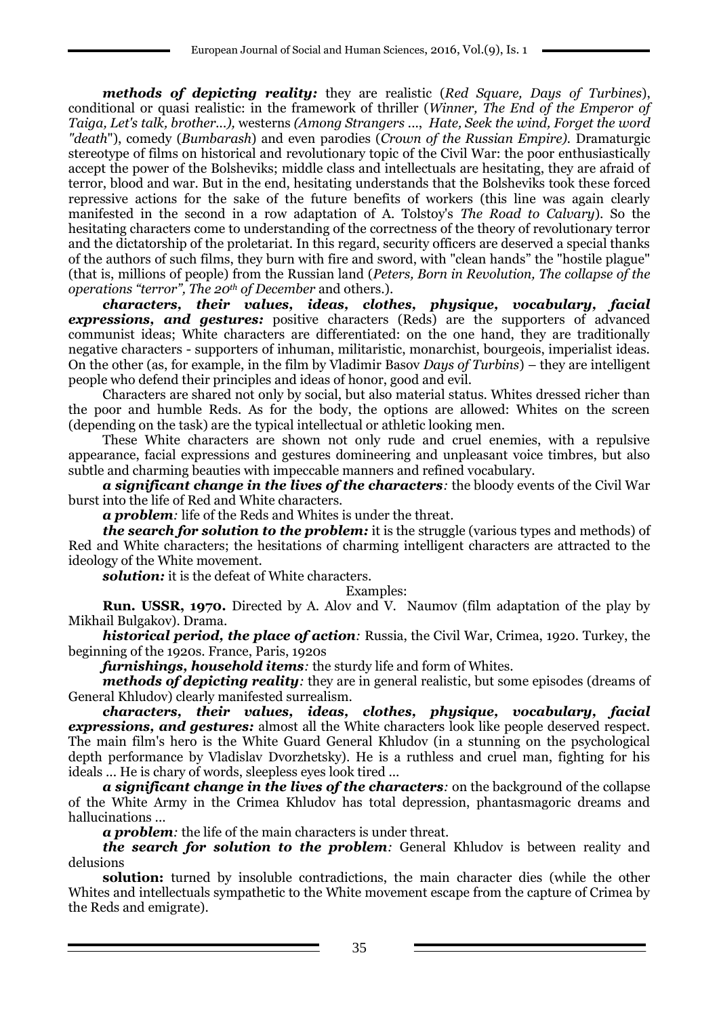*methods of depicting reality:* they are realistic (*Red Square, Days of Turbines*), conditional or quasi realistic: in the framework of thriller (*Winner, The End of the Emperor of Taiga, Let's talk, brother...),* westerns *(Among Strangers .*.., *Hate, Seek the wind, Forget the word "death*"), comedy (*Bumbarash*) and even parodies (*Crown of the Russian Empire).* Dramaturgic stereotype of films on historical and revolutionary topic of the Civil War: the poor enthusiastically accept the power of the Bolsheviks; middle class and intellectuals are hesitating, they are afraid of terror, blood and war. But in the end, hesitating understands that the Bolsheviks took these forced repressive actions for the sake of the future benefits of workers (this line was again clearly manifested in the second in a row adaptation of A. Tolstoy's *The Road to Calvary*). So the hesitating characters come to understanding of the correctness of the theory of revolutionary terror and the dictatorship of the proletariat. In this regard, security officers are deserved a special thanks of the authors of such films, they burn with fire and sword, with "clean hands" the "hostile plague" (that is, millions of people) from the Russian land (*Peters, Born in Revolution, The collapse of the operations "terror", The 20th of December* and others.).

*characters, their values, ideas, clothes, physique, vocabulary, facial*  **expressions, and gestures:** positive characters (Reds) are the supporters of advanced communist ideas; White characters are differentiated: on the one hand, they are traditionally negative characters - supporters of inhuman, militaristic, monarchist, bourgeois, imperialist ideas. On the other (as, for example, in the film by Vladimir Basov *Days of Turbins*) – they are intelligent people who defend their principles and ideas of honor, good and evil.

Characters are shared not only by social, but also material status. Whites dressed richer than the poor and humble Reds. As for the body, the options are allowed: Whites on the screen (depending on the task) are the typical intellectual or athletic looking men.

These White characters are shown not only rude and cruel enemies, with a repulsive appearance, facial expressions and gestures domineering and unpleasant voice timbres, but also subtle and charming beauties with impeccable manners and refined vocabulary.

*a significant change in the lives of the characters:* the bloody events of the Civil War burst into the life of Red and White characters.

*a problem:* life of the Reds and Whites is under the threat.

*the search for solution to the problem:* it is the struggle (various types and methods) of Red and White characters; the hesitations of charming intelligent characters are attracted to the ideology of the White movement.

*solution:* it is the defeat of White characters.

### Examples:

**Run. USSR, 1970.** Directed by A. Alov and V. Naumov (film adaptation of the play by Mikhail Bulgakov). Drama.

*historical period, the place of action:* Russia, the Civil War, Crimea, 1920. Turkey, the beginning of the 1920s. France, Paris, 1920s

*furnishings, household items:* the sturdy life and form of Whites.

*methods of depicting reality*: they are in general realistic, but some episodes (dreams of General Khludov) clearly manifested surrealism.<br> *characters*, *their values***,** *ideas*,

*characters, their values, ideas, clothes, physique, vocabulary, facial expressions, and gestures:* almost all the White characters look like people deserved respect. The main film's hero is the White Guard General Khludov (in a stunning on the psychological depth performance by Vladislav Dvorzhetsky). He is a ruthless and cruel man, fighting for his ideals ... He is chary of words, sleepless eyes look tired ...

*a significant change in the lives of the characters:* on the background of the collapse of the White Army in the Crimea Khludov has total depression, phantasmagoric dreams and hallucinations ...

*a problem:* the life of the main characters is under threat.

*the search for solution to the problem:* General Khludov is between reality and delusions

**solution:** turned by insoluble contradictions, the main character dies (while the other Whites and intellectuals sympathetic to the White movement escape from the capture of Crimea by the Reds and emigrate).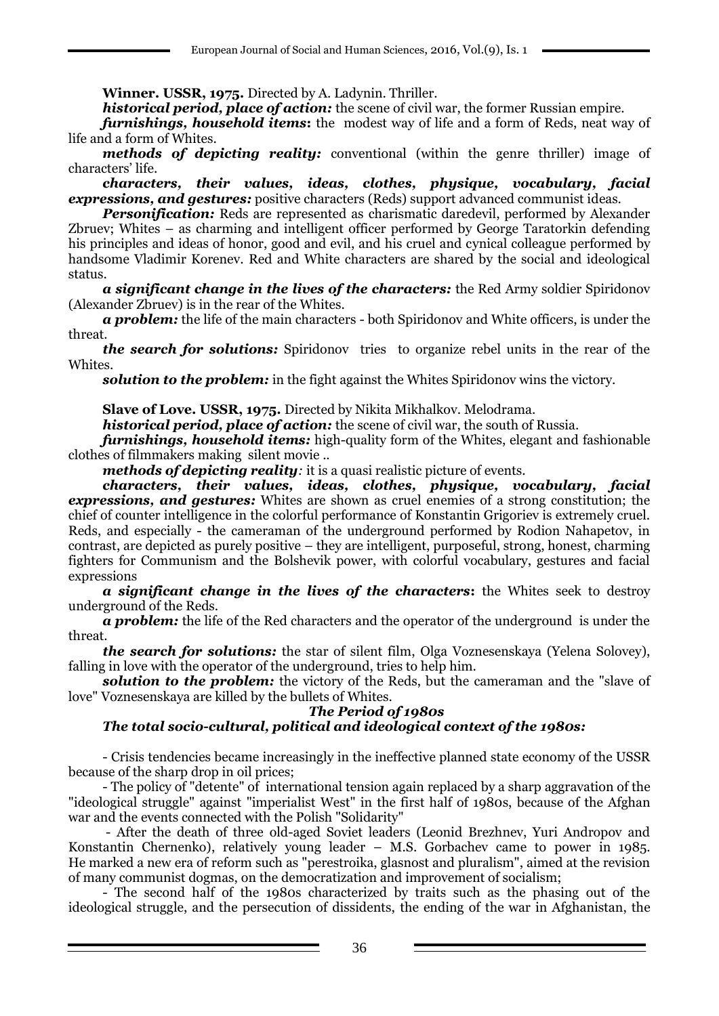**Winner. USSR, 1975.** Directed by A. Ladynin. Thriller.

*historical period, place of action:* the scene of civil war, the former Russian empire.

*furnishings, household items***:** the modest way of life and a form of Reds, neat way of life and a form of Whites.

*methods of depicting reality:* conventional (within the genre thriller) image of characters' life.

*characters, their values, ideas, clothes, physique, vocabulary, facial expressions, and gestures:* positive characters (Reds) support advanced communist ideas.

*Personification:* Reds are represented as charismatic daredevil, performed by Alexander Zbruev; Whites – as charming and intelligent officer performed by George Taratorkin defending his principles and ideas of honor, good and evil, and his cruel and cynical colleague performed by handsome Vladimir Korenev. Red and White characters are shared by the social and ideological status.

*a significant change in the lives of the characters:* the Red Army soldier Spiridonov (Alexander Zbruev) is in the rear of the Whites.

*a problem:* the life of the main characters - both Spiridonov and White officers, is under the threat.

*the search for solutions:* Spiridonov tries to organize rebel units in the rear of the Whites.

**solution to the problem:** in the fight against the Whites Spiridonov wins the victory.

**Slave of Love. USSR, 1975.** Directed by Nikita Mikhalkov. Melodrama.

*historical period, place of action:* the scene of civil war, the south of Russia.

*furnishings, household items:* high-quality form of the Whites, elegant and fashionable clothes of filmmakers making silent movie ..

*methods of depicting reality:* it is a quasi realistic picture of events.

*characters, their values, ideas, clothes, physique, vocabulary, facial expressions, and gestures:* Whites are shown as cruel enemies of a strong constitution; the chief of counter intelligence in the colorful performance of Konstantin Grigoriev is extremely cruel. Reds, and especially - the cameraman of the underground performed by Rodion Nahapetov, in contrast, are depicted as purely positive – they are intelligent, purposeful, strong, honest, charming fighters for Communism and the Bolshevik power, with colorful vocabulary, gestures and facial expressions

*a significant change in the lives of the characters***:** the Whites seek to destroy underground of the Reds.

*a problem:* the life of the Red characters and the operator of the underground is under the threat.

*the search for solutions:* the star of silent film, Olga Voznesenskaya (Yelena Solovey), falling in love with the operator of the underground, tries to help him.

**solution to the problem:** the victory of the Reds, but the cameraman and the "slave of love" Voznesenskaya are killed by the bullets of Whites.

### *The Period of 1980s*

# *The total socio-cultural, political and ideological context of the 1980s:*

- Crisis tendencies became increasingly in the ineffective planned state economy of the USSR because of the sharp drop in oil prices;

- The policy of "detente" of international tension again replaced by a sharp aggravation of the "ideological struggle" against "imperialist West" in the first half of 1980s, because of the Afghan war and the events connected with the Polish "Solidarity"

- After the death of three old-aged Soviet leaders (Leonid Brezhnev, Yuri Andropov and Konstantin Chernenko), relatively young leader – M.S. Gorbachev came to power in 1985. He marked a new era of reform such as "perestroika, glasnost and pluralism", aimed at the revision of many communist dogmas, on the democratization and improvement of socialism;

- The second half of the 1980s characterized by traits such as the phasing out of the ideological struggle, and the persecution of dissidents, the ending of the war in Afghanistan, the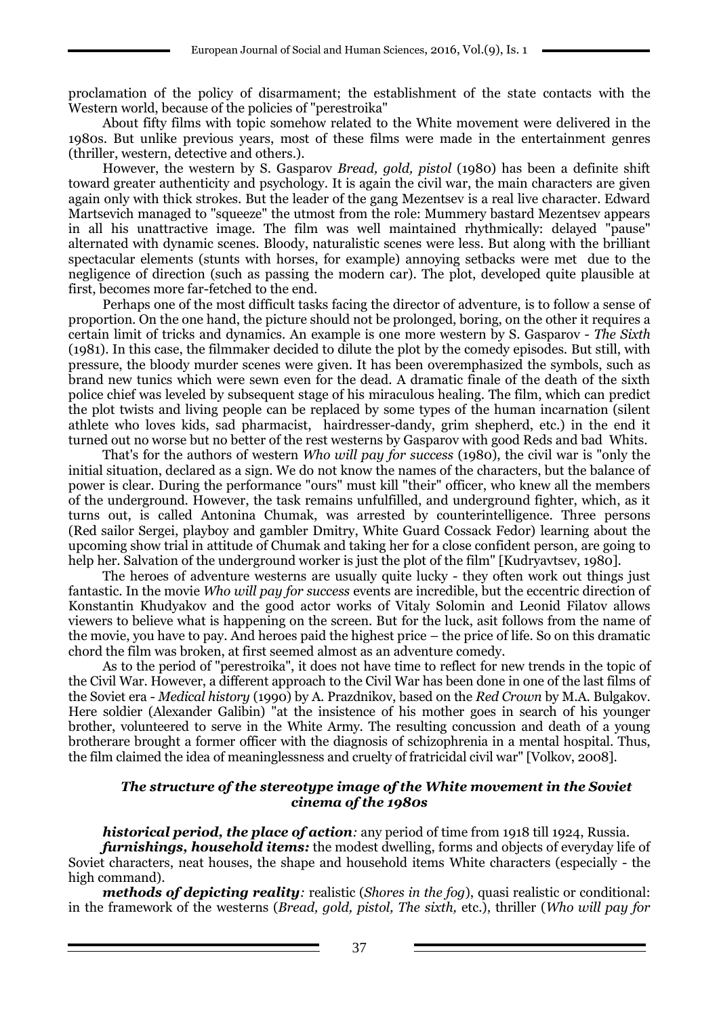proclamation of the policy of disarmament; the establishment of the state contacts with the Western world, because of the policies of "perestroika"

About fifty films with topic somehow related to the White movement were delivered in the 1980s. But unlike previous years, most of these films were made in the entertainment genres (thriller, western, detective and others.).

However, the western by S. Gasparov *Bread, gold, pistol* (1980) has been a definite shift toward greater authenticity and psychology. It is again the civil war, the main characters are given again only with thick strokes. But the leader of the gang Mezentsev is a real live character. Edward Martsevich managed to "squeeze" the utmost from the role: Mummery bastard Mezentsev appears in all his unattractive image. The film was well maintained rhythmically: delayed "pause" alternated with dynamic scenes. Bloody, naturalistic scenes were less. But along with the brilliant spectacular elements (stunts with horses, for example) annoying setbacks were met due to the negligence of direction (such as passing the modern car). The plot, developed quite plausible at first, becomes more far-fetched to the end.

Perhaps one of the most difficult tasks facing the director of adventure, is to follow a sense of proportion. On the one hand, the picture should not be prolonged, boring, on the other it requires a certain limit of tricks and dynamics. An example is one more western by S. Gasparov - *The Sixth* (1981). In this case, the filmmaker decided to dilute the plot by the comedy episodes. But still, with pressure, the bloody murder scenes were given. It has been overemphasized the symbols, such as brand new tunics which were sewn even for the dead. A dramatic finale of the death of the sixth police chief was leveled by subsequent stage of his miraculous healing. The film, which can predict the plot twists and living people can be replaced by some types of the human incarnation (silent athlete who loves kids, sad pharmacist, hairdresser-dandy, grim shepherd, etc.) in the end it turned out no worse but no better of the rest westerns by Gasparov with good Reds and bad Whits.

That's for the authors of western *Who will pay for success* (1980), the civil war is "only the initial situation, declared as a sign. We do not know the names of the characters, but the balance of power is clear. During the performance "ours" must kill "their" officer, who knew all the members of the underground. However, the task remains unfulfilled, and underground fighter, which, as it turns out, is called Antonina Chumak, was arrested by counterintelligence. Three persons (Red sailor Sergei, playboy and gambler Dmitry, White Guard Cossack Fedor) learning about the upcoming show trial in attitude of Chumak and taking her for a close confident person, are going to help her. Salvation of the underground worker is just the plot of the film" [Kudryavtsev, 1980].

The heroes of adventure westerns are usually quite lucky - they often work out things just fantastic. In the movie *Who will pay for success* events are incredible, but the eccentric direction of Konstantin Khudyakov and the good actor works of Vitaly Solomin and Leonid Filatov allows viewers to believe what is happening on the screen. But for the luck, asit follows from the name of the movie, you have to pay. And heroes paid the highest price – the price of life. So on this dramatic chord the film was broken, at first seemed almost as an adventure comedy.

As to the period of "perestroika", it does not have time to reflect for new trends in the topic of the Civil War. However, a different approach to the Civil War has been done in one of the last films of the Soviet era - *Medical history* (1990) by A. Prazdnikov, based on the *Red Crown* by M.A. Bulgakov. Here soldier (Alexander Galibin) "at the insistence of his mother goes in search of his younger brother, volunteered to serve in the White Army. The resulting concussion and death of a young brotherare brought a former officer with the diagnosis of schizophrenia in a mental hospital. Thus, the film claimed the idea of meaninglessness and cruelty of fratricidal civil war" [Volkov, 2008].

### *The structure of the stereotype image of the White movement in the Soviet cinema of the 1980s*

*historical period, the place of action:* any period of time from 1918 till 1924, Russia.

*furnishings, household items:* the modest dwelling, forms and objects of everyday life of Soviet characters, neat houses, the shape and household items White characters (especially - the high command).

*methods of depicting reality:* realistic (*Shores in the fog*), quasi realistic or conditional: in the framework of the westerns (*Bread, gold, pistol, The sixth,* etc.), thriller (*Who will pay for*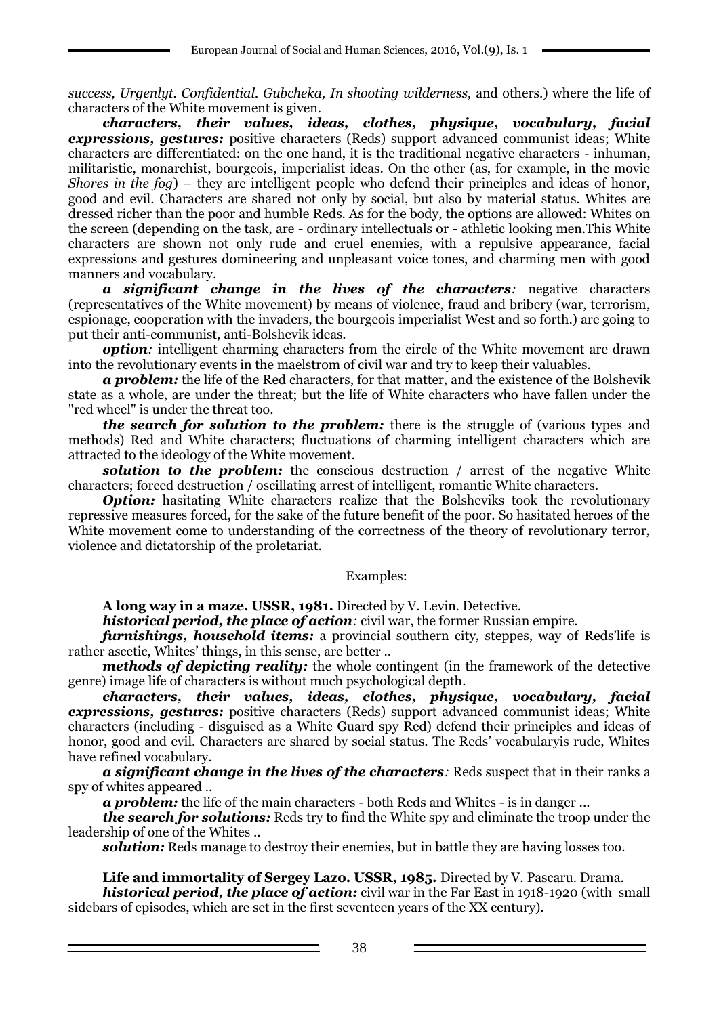*success, Urgenlyt. Confidential. Gubcheka, In shooting wilderness,* and others.) where the life of characters of the White movement is given.

*characters, their values, ideas, clothes, physique, vocabulary, facial expressions, gestures:* positive characters (Reds) support advanced communist ideas; White characters are differentiated: on the one hand, it is the traditional negative characters - inhuman, militaristic, monarchist, bourgeois, imperialist ideas. On the other (as, for example, in the movie *Shores in the fog*) – they are intelligent people who defend their principles and ideas of honor, good and evil. Characters are shared not only by social, but also by material status. Whites are dressed richer than the poor and humble Reds. As for the body, the options are allowed: Whites on the screen (depending on the task, are - ordinary intellectuals or - athletic looking men.This White characters are shown not only rude and cruel enemies, with a repulsive appearance, facial expressions and gestures domineering and unpleasant voice tones, and charming men with good manners and vocabulary.

*a significant change in the lives of the characters:* negative characters (representatives of the White movement) by means of violence, fraud and bribery (war, terrorism, espionage, cooperation with the invaders, the bourgeois imperialist West and so forth.) are going to put their anti-communist, anti-Bolshevik ideas.

*option:* intelligent charming characters from the circle of the White movement are drawn into the revolutionary events in the maelstrom of civil war and try to keep their valuables.

*a problem:* the life of the Red characters, for that matter, and the existence of the Bolshevik state as a whole, are under the threat; but the life of White characters who have fallen under the "red wheel" is under the threat too.

*the search for solution to the problem:* there is the struggle of (various types and methods) Red and White characters; fluctuations of charming intelligent characters which are attracted to the ideology of the White movement.

**solution to the problem:** the conscious destruction / arrest of the negative White characters; forced destruction / oscillating arrest of intelligent, romantic White characters.

*Option:* hasitating White characters realize that the Bolsheviks took the revolutionary repressive measures forced, for the sake of the future benefit of the poor. So hasitated heroes of the White movement come to understanding of the correctness of the theory of revolutionary terror, violence and dictatorship of the proletariat.

#### Examples:

**A long way in a maze. USSR, 1981.** Directed by V. Levin. Detective.

*historical period, the place of action:* civil war, the former Russian empire.

*furnishings, household items:* a provincial southern city, steppes, way of Reds'life is rather ascetic, Whites' things, in this sense, are better ..

*methods of depicting reality:* the whole contingent (in the framework of the detective genre) image life of characters is without much psychological depth.

*characters, their values, ideas, clothes, physique, vocabulary, facial expressions, gestures:* positive characters (Reds) support advanced communist ideas; White characters (including - disguised as a White Guard spy Red) defend their principles and ideas of honor, good and evil. Characters are shared by social status. The Reds' vocabularyis rude, Whites have refined vocabulary.

*a significant change in the lives of the characters:* Reds suspect that in their ranks a spy of whites appeared ..

*a problem:* the life of the main characters - both Reds and Whites - is in danger ...

*the search for solutions:* Reds try to find the White spy and eliminate the troop under the leadership of one of the Whites ..

*solution:* Reds manage to destroy their enemies, but in battle they are having losses too.

### **Life and immortality of Sergey Lazo. USSR, 1985.** Directed by V. Pascaru. Drama.

*historical period, the place of action:* civil war in the Far East in 1918-1920 (with small sidebars of episodes, which are set in the first seventeen years of the XX century).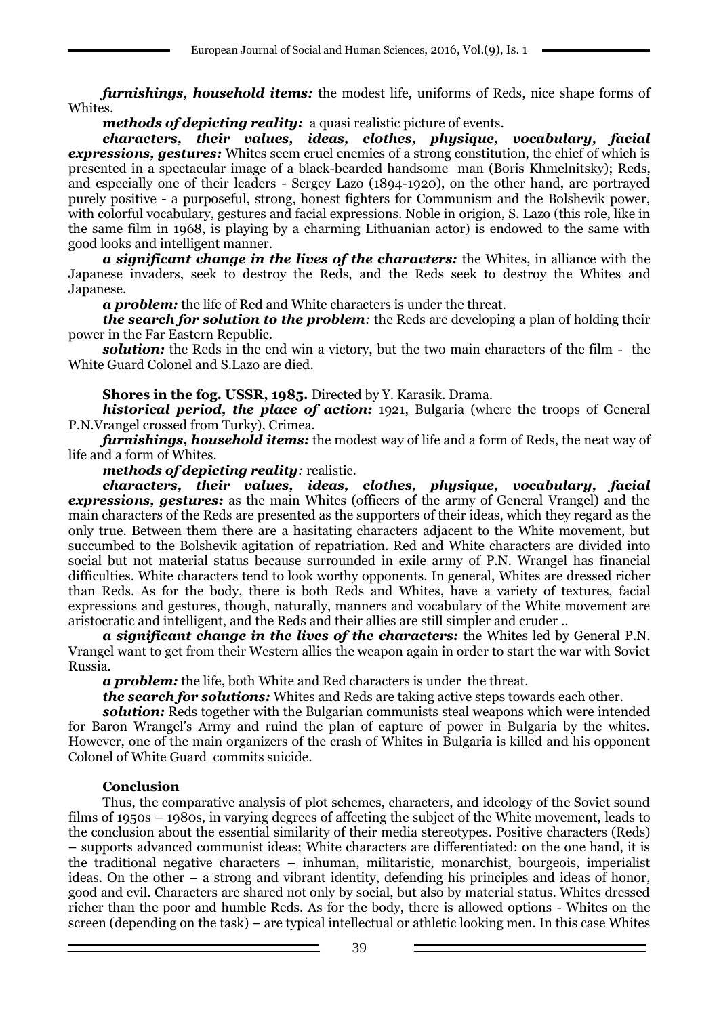*furnishings, household items:* the modest life, uniforms of Reds, nice shape forms of Whites.

*methods of depicting reality:* a quasi realistic picture of events.

*characters, their values, ideas, clothes, physique, vocabulary, facial expressions, gestures:* Whites seem cruel enemies of a strong constitution, the chief of which is presented in a spectacular image of a black-bearded handsome man (Boris Khmelnitsky); Reds, and especially one of their leaders - Sergey Lazo (1894-1920), on the other hand, are portrayed purely positive - a purposeful, strong, honest fighters for Communism and the Bolshevik power, with colorful vocabulary, gestures and facial expressions. Noble in origion, S. Lazo (this role, like in the same film in 1968, is playing by a charming Lithuanian actor) is endowed to the same with good looks and intelligent manner.

*a significant change in the lives of the characters:* the Whites, in alliance with the Japanese invaders, seek to destroy the Reds, and the Reds seek to destroy the Whites and Japanese.

*a problem:* the life of Red and White characters is under the threat.

*the search for solution to the problem:* the Reds are developing a plan of holding their power in the Far Eastern Republic.

**solution:** the Reds in the end win a victory, but the two main characters of the film - the White Guard Colonel and S.Lazo are died.

**Shores in the fog. USSR, 1985.** Directed by Y. Karasik. Drama.

*historical period, the place of action:* 1921, Bulgaria (where the troops of General P.N.Vrangel crossed from Turky), Crimea.

*furnishings, household items:* the modest way of life and a form of Reds, the neat way of life and a form of Whites.

*methods of depicting reality:* realistic.

*characters, their values, ideas, clothes, physique, vocabulary, facial expressions, gestures:* as the main Whites (officers of the army of General Vrangel) and the main characters of the Reds are presented as the supporters of their ideas, which they regard as the only true. Between them there are a hasitating characters adjacent to the White movement, but succumbed to the Bolshevik agitation of repatriation. Red and White characters are divided into social but not material status because surrounded in exile army of P.N. Wrangel has financial difficulties. White characters tend to look worthy opponents. In general, Whites are dressed richer than Reds. As for the body, there is both Reds and Whites, have a variety of textures, facial expressions and gestures, though, naturally, manners and vocabulary of the White movement are aristocratic and intelligent, and the Reds and their allies are still simpler and cruder ..

*a significant change in the lives of the characters:* the Whites led by General P.N. Vrangel want to get from their Western allies the weapon again in order to start the war with Soviet Russia.

*a problem:* the life, both White and Red characters is under the threat.

*the search for solutions:* Whites and Reds are taking active steps towards each other.

**solution:** Reds together with the Bulgarian communists steal weapons which were intended for Baron Wrangel's Army and ruind the plan of capture of power in Bulgaria by the whites. However, one of the main organizers of the crash of Whites in Bulgaria is killed and his opponent Colonel of White Guard commits suicide.

# **Conclusion**

Thus, the comparative analysis of plot schemes, characters, and ideology of the Soviet sound films of 1950s – 1980s, in varying degrees of affecting the subject of the White movement, leads to the conclusion about the essential similarity of their media stereotypes. Positive characters (Reds) – supports advanced communist ideas; White characters are differentiated: on the one hand, it is the traditional negative characters – inhuman, militaristic, monarchist, bourgeois, imperialist ideas. On the other – a strong and vibrant identity, defending his principles and ideas of honor, good and evil. Characters are shared not only by social, but also by material status. Whites dressed richer than the poor and humble Reds. As for the body, there is allowed options - Whites on the screen (depending on the task) – are typical intellectual or athletic looking men. In this case Whites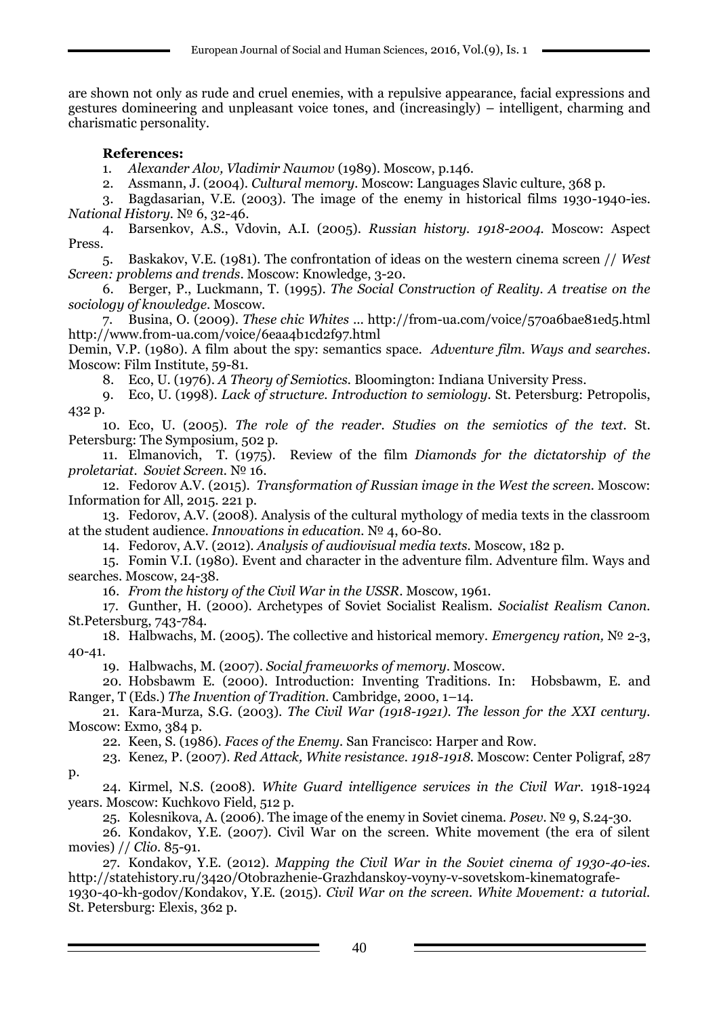are shown not only as rude and cruel enemies, with a repulsive appearance, facial expressions and gestures domineering and unpleasant voice tones, and (increasingly) – intelligent, charming and charismatic personality.

# **References:**

1. *Alexander Alov, Vladimir Naumov* (1989). Moscow, p.146.

2. Assmann, J. (2004). *Cultural memory.* Moscow: Languages Slavic culture, 368 p.

3. Bagdasarian, V.E. (2003). The image of the enemy in historical films 1930-1940-ies. *National History.* № 6, 32-46.

4. Barsenkov, A.S., Vdovin, A.I. (2005). *Russian history. 1918-2004.* Moscow: Aspect Press.

5. Baskakov, V.E. (1981). The confrontation of ideas on the western cinema screen // *West Screen: problems and trends*. Moscow: Knowledge, 3-20.

6. Berger, P., Luckmann, T. (1995). *The Social Construction of Reality. A treatise on the sociology of knowledge*. Moscow.

7. Busina, O. (2009). *These chic Whites* ... http://from-ua.com/voice/570a6bae81ed5.html http://www.from-ua.com/voice/6eaa4b1cd2f97.html

Demin, V.P. (1980). A film about the spy: semantics space. *Adventure film. Ways and searches*. Moscow: Film Institute, 59-81.

8. Eco, U. (1976). *A Theory of Semiotics.* Bloomington: Indiana University Press.

9. Eco, U. (1998). *Lack of structure. Introduction to semiology.* St. Petersburg: Petropolis, 432 p.

10. Eco, U. (2005). *The role of the reader. Studies on the semiotics of the text.* St. Petersburg: The Symposium, 502 p.

11. Elmanovich, T. (1975). Review of the film *Diamonds for the dictatorship of the proletariat. Soviet Screen.* № 16.

12. Fedorov A.V. (2015). *Transformation of Russian image in the West the screen.* Moscow: Information for All, 2015. 221 p.

13. Fedorov, A.V. (2008). Analysis of the cultural mythology of media texts in the classroom at the student audience. *Innovations in education.* № 4, 60-80.

14. Fedorov, A.V. (2012). *Analysis of audiovisual media texts.* Moscow, 182 p.

15. Fomin V.I. (1980). Event and character in the adventure film. Adventure film. Ways and searches. Moscow, 24-38.

16. *From the history of the Civil War in the USSR*. Moscow, 1961.

17. Gunther, H. (2000). Archetypes of Soviet Socialist Realism. *Socialist Realism Canon.* St.Petersburg, 743-784.

18. Halbwachs, M. (2005). The collective and historical memory. *Emergency ration,* № 2-3, 40-41.

19. Halbwachs, M. (2007). *Social frameworks of memory*. Moscow.

20. Hobsbawm E. (2000). Introduction: Inventing Traditions. In: Hobsbawm, E. and Ranger, T (Eds.) *The Invention of Tradition.* Cambridge, 2000, 1–14.

21. Kara-Murza, S.G. (2003). *The Civil War (1918-1921). The lesson for the XXI century.* Moscow: Exmo, 384 p.

22. Keen, S. (1986). *Faces of the Enemy.* San Francisco: Harper and Row.

23. Kenez, P. (2007). *Red Attack, White resistance. 1918-1918.* Moscow: Center Poligraf, 287 p.

24. Kirmel, N.S. (2008). *White Guard intelligence services in the Civil War.* 1918-1924 years. Moscow: Kuchkovo Field, 512 p.

25. Kolesnikova, A. (2006). The image of the enemy in Soviet cinema. *Posev.* № 9, S.24-30.

26. Kondakov, Y.E. (2007). Civil War on the screen. White movement (the era of silent movies) // *Clio.* 85-91.

27. Kondakov, Y.E. (2012). *Mapping the Civil War in the Soviet cinema of 1930-40-ies.* http://statehistory.ru/3420/Otobrazhenie-Grazhdanskoy-voyny-v-sovetskom-kinematografe-

1930-40-kh-godov/Kondakov, Y.E. (2015). *Civil War on the screen. White Movement: a tutorial.* St. Petersburg: Elexis, 362 p.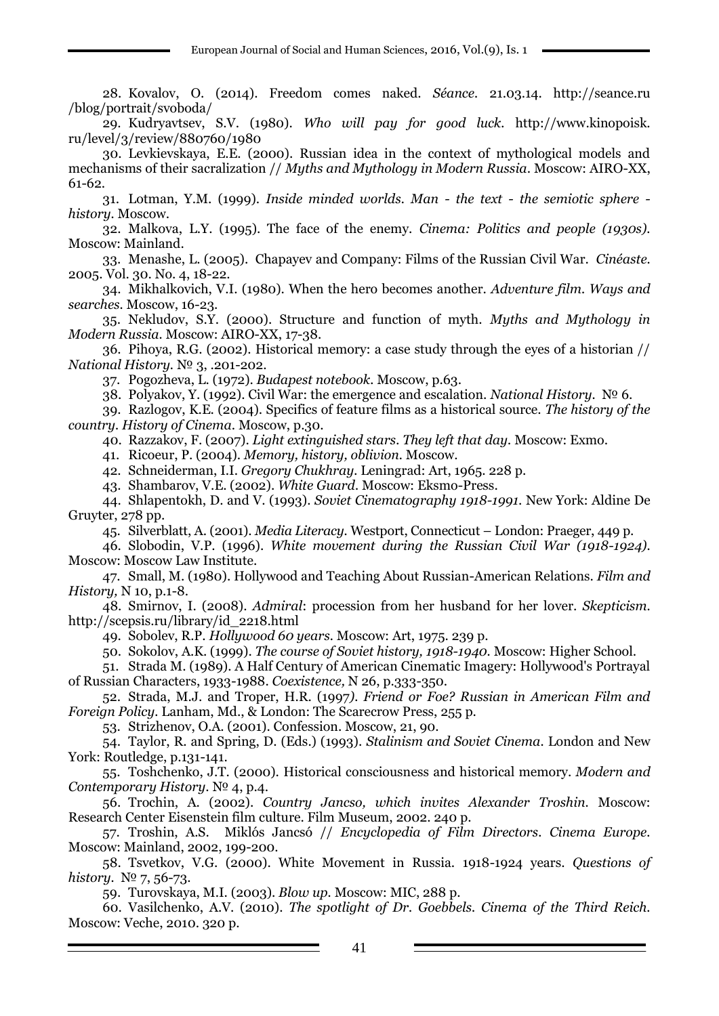28. Kovalov, O. (2014). Freedom comes naked. *Séance.* 21.03.14. http://seance.ru /blog/portrait/svoboda/

29. Kudryavtsev, S.V. (1980). *Who will pay for good luck.* http://www.kinopoisk. ru/level/3/review/880760/1980

30. Levkievskaya, E.E. (2000). Russian idea in the context of mythological models and mechanisms of their sacralization // *Myths and Mythology in Modern Russia*. Moscow: AIRO-XX, 61-62.

31. Lotman, Y.M. (1999). *Inside minded worlds. Man - the text - the semiotic sphere history.* Moscow.

32. Malkova, L.Y. (1995). The face of the enemy. *Cinema: Politics and people (1930s).* Moscow: Mainland.

33. Menashe, L. (2005). Chapayev and Company: Films of the Russian Civil War. *Cinéaste.* 2005. Vol. 30. No. 4, 18-22.

34. Mikhalkovich, V.I. (1980). When the hero becomes another. *Adventure film. Ways and searches.* Moscow, 16-23.

35. Nekludov, S.Y. (2000). Structure and function of myth. *Myths and Mythology in Modern Russia.* Moscow: AIRO-XX, 17-38.

36. Pihoya, R.G. (2002). Historical memory: a case study through the eyes of a historian // *National History.* № 3, .201-202.

37. Pogozheva, L. (1972). *Budapest notebook.* Moscow, p.63.

38. Polyakov, Y. (1992). Civil War: the emergence and escalation. *National History.* № 6.

39. Razlogov, K.E. (2004). Specifics of feature films as a historical source. *The history of the country. History of Cinema*. Moscow, p.30.

40. Razzakov, F. (2007). *Light extinguished stars. They left that day.* Moscow: Exmo.

41. Ricoeur, P. (2004). *Memory, history, oblivion.* Moscow.

42. Schneiderman, I.I. *Gregory Chukhray.* Leningrad: Art, 1965. 228 p.

43. Shambarov, V.E. (2002). *White Guard.* Moscow: Eksmo-Press.

44. Shlapentokh, D. and V. (1993). *Soviet Cinematography 1918-1991*. New York: Aldine De Gruyter, 278 pp.

45. Silverblatt, A. (2001). *Media Literacy.* Westport, Connecticut – London: Praeger, 449 p.

46. Slobodin, V.P. (1996). *White movement during the Russian Civil War (1918-1924).* Moscow: Moscow Law Institute.

47. Small, M. (1980). Hollywood and Teaching About Russian-American Relations. *Film and History,* N 10, p.1-8.

48. Smirnov, I. (2008). *Admiral*: procession from her husband for her lover. *Skepticism.* [http://scepsis.ru/library/id\\_2218.html](http://scepsis.ru/library/id_2218.html)

49. Sobolev, R.P. *Hollywood 60 years.* Moscow: Art, 1975. 239 p.

50. Sokolov, A.K. (1999). *The course of Soviet history, 1918-1940.* Moscow: Higher School.

51. Strada M. (1989). A Half Century of American Cinematic Imagery: Hollywood's Portrayal of Russian Characters, 1933-1988. *Coexistence,* N 26, p.333-350.

52. Strada, M.J. and Troper, H.R. (1997*). Friend or Foe? Russian in American Film and Foreign Policy.* Lanham, Md., & London: The Scarecrow Press, 255 p.

53. Strizhenov, O.A. (2001). Confession. Moscow, 21, 90.

54. Taylor, R. and Spring, D. (Eds.) (1993). *Stalinism and Soviet Cinema.* London and New York: Routledge, p.131-141.

55. Toshchenko, J.T. (2000). Historical consciousness and historical memory. *Modern and Contemporary History*. № 4, p.4.

56. Trochin, A. (2002). *Country Jancso, which invites Alexander Troshin.* Moscow: Research Center Eisenstein film culture. Film Museum, 2002. 240 p.

57. Troshin, A.S. Miklós Jancsó // *Encyclopedia of Film Directors. Cinema Europe.* Moscow: Mainland, 2002, 199-200.

58. Tsvetkov, V.G. (2000). White Movement in Russia. 1918-1924 years. *Questions of history.* № 7, 56-73.

59. Turovskaya, M.I. (2003). *Blow up.* Moscow: MIC, 288 p.

60. Vasilchenko, A.V. (2010). *The spotlight of Dr. Goebbels. Cinema of the Third Reich.* Moscow: Veche, 2010. 320 p.